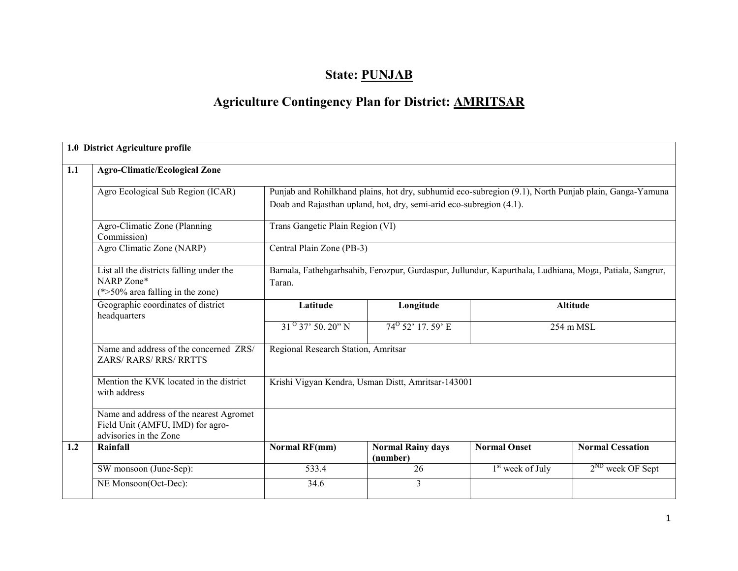## State: PUNJAB

# Agriculture Contingency Plan for District: AMRITSAR

|     | 1.0 District Agriculture profile                                                                      |                                                    |                                                                     |                     |                                                                                                         |  |  |  |  |  |
|-----|-------------------------------------------------------------------------------------------------------|----------------------------------------------------|---------------------------------------------------------------------|---------------------|---------------------------------------------------------------------------------------------------------|--|--|--|--|--|
| 1.1 | <b>Agro-Climatic/Ecological Zone</b>                                                                  |                                                    |                                                                     |                     |                                                                                                         |  |  |  |  |  |
|     | Agro Ecological Sub Region (ICAR)                                                                     |                                                    | Doab and Rajasthan upland, hot, dry, semi-arid eco-subregion (4.1). |                     | Punjab and Rohilkhand plains, hot dry, subhumid eco-subregion (9.1), North Punjab plain, Ganga-Yamuna   |  |  |  |  |  |
|     | Agro-Climatic Zone (Planning<br>Commission)                                                           | Trans Gangetic Plain Region (VI)                   |                                                                     |                     |                                                                                                         |  |  |  |  |  |
|     | Agro Climatic Zone (NARP)                                                                             |                                                    | Central Plain Zone (PB-3)                                           |                     |                                                                                                         |  |  |  |  |  |
|     | List all the districts falling under the<br>NARP Zone*<br>$(*>50\%$ area falling in the zone)         | Taran.                                             |                                                                     |                     | Barnala, Fathehgarhsahib, Ferozpur, Gurdaspur, Jullundur, Kapurthala, Ludhiana, Moga, Patiala, Sangrur, |  |  |  |  |  |
|     | Geographic coordinates of district<br>headquarters                                                    | Latitude                                           | Longitude<br><b>Altitude</b>                                        |                     |                                                                                                         |  |  |  |  |  |
|     |                                                                                                       | $31^{0}$ 37' 50, 20" N                             | $74^{\circ}$ 52' 17, 59' E                                          |                     | 254 m MSL                                                                                               |  |  |  |  |  |
|     | Name and address of the concerned ZRS/<br><b>ZARS/ RARS/ RRS/ RRTTS</b>                               | Regional Research Station, Amritsar                |                                                                     |                     |                                                                                                         |  |  |  |  |  |
|     | Mention the KVK located in the district<br>with address                                               | Krishi Vigyan Kendra, Usman Distt, Amritsar-143001 |                                                                     |                     |                                                                                                         |  |  |  |  |  |
|     | Name and address of the nearest Agromet<br>Field Unit (AMFU, IMD) for agro-<br>advisories in the Zone |                                                    |                                                                     |                     |                                                                                                         |  |  |  |  |  |
| 1.2 | Rainfall                                                                                              | <b>Normal RF(mm)</b>                               | <b>Normal Rainy days</b><br>(number)                                | <b>Normal Onset</b> | <b>Normal Cessation</b>                                                                                 |  |  |  |  |  |
|     | SW monsoon (June-Sep):                                                                                | 533.4                                              | 26                                                                  | $1st$ week of July  | $2^{ND}$ week OF Sept                                                                                   |  |  |  |  |  |
|     | NE Monsoon(Oct-Dec):                                                                                  | 34.6                                               | $\overline{3}$                                                      |                     |                                                                                                         |  |  |  |  |  |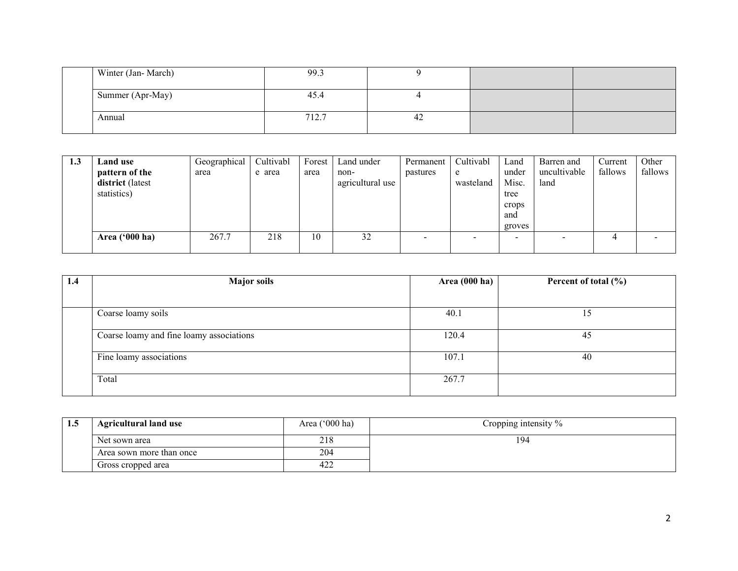| Winter (Jan-March) | 99.3  |    |  |
|--------------------|-------|----|--|
| Summer (Apr-May)   | 45.4  |    |  |
| Annual             | 712.7 | 42 |  |

| 1.3 | Land use                | Geographical | Cultivabl | Forest | Land under       | Permanent | Cultivabl | Land   | Barren and   | Current | Other   |
|-----|-------------------------|--------------|-----------|--------|------------------|-----------|-----------|--------|--------------|---------|---------|
|     | pattern of the          | area         | e area    | area   | non-             | pastures  | e         | under  | uncultivable | fallows | fallows |
|     | district (latest        |              |           |        | agricultural use |           | wasteland | Misc.  | land         |         |         |
|     | statistics)             |              |           |        |                  |           |           | tree   |              |         |         |
|     |                         |              |           |        |                  |           |           | crops  |              |         |         |
|     |                         |              |           |        |                  |           |           | and    |              |         |         |
|     |                         |              |           |        |                  |           |           | groves |              |         |         |
|     | Area $(900 \text{ ha})$ | 267.7        | 218       | 10     | 32               |           |           | -      |              |         |         |
|     |                         |              |           |        |                  |           |           |        |              |         |         |

| 1.4 | <b>Major soils</b>                       | Area $(000 \text{ ha})$ | Percent of total $(\% )$ |
|-----|------------------------------------------|-------------------------|--------------------------|
|     |                                          |                         |                          |
|     | Coarse loamy soils                       | 40.1                    | 15                       |
|     | Coarse loamy and fine loamy associations | 120.4                   | 45                       |
|     | Fine loamy associations                  | 107.1                   | 40                       |
|     | Total                                    | 267.7                   |                          |

| 1.5 | <b>Agricultural land use</b> | Area ('000 ha) | Cropping intensity % |
|-----|------------------------------|----------------|----------------------|
|     | Net sown area                | 218            | 194                  |
|     | Area sown more than once     | 204            |                      |
|     | Gross cropped area           | 422            |                      |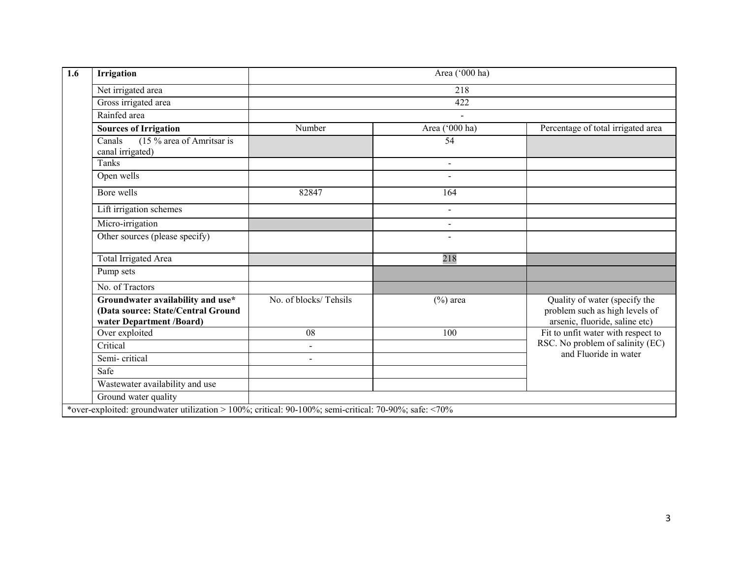| 1.6 | Irrigation                                                                                            | Area ('000 ha)        |                |                                                                                                   |  |  |  |  |  |
|-----|-------------------------------------------------------------------------------------------------------|-----------------------|----------------|---------------------------------------------------------------------------------------------------|--|--|--|--|--|
|     | Net irrigated area                                                                                    |                       | 218            |                                                                                                   |  |  |  |  |  |
|     | Gross irrigated area                                                                                  | 422                   |                |                                                                                                   |  |  |  |  |  |
|     | Rainfed area                                                                                          |                       | $\blacksquare$ |                                                                                                   |  |  |  |  |  |
|     | <b>Sources of Irrigation</b>                                                                          | Number                | Area ('000 ha) | Percentage of total irrigated area                                                                |  |  |  |  |  |
|     | (15 % area of Amritsar is<br>Canals<br>canal irrigated)                                               |                       | 54             |                                                                                                   |  |  |  |  |  |
|     | Tanks                                                                                                 |                       | $\blacksquare$ |                                                                                                   |  |  |  |  |  |
|     | Open wells                                                                                            |                       | $\blacksquare$ |                                                                                                   |  |  |  |  |  |
|     | Bore wells                                                                                            | 82847                 | 164            |                                                                                                   |  |  |  |  |  |
|     | Lift irrigation schemes                                                                               |                       | $\sim$         |                                                                                                   |  |  |  |  |  |
|     | Micro-irrigation                                                                                      |                       | $\mathbf{r}$   |                                                                                                   |  |  |  |  |  |
|     | Other sources (please specify)                                                                        |                       |                |                                                                                                   |  |  |  |  |  |
|     | <b>Total Irrigated Area</b>                                                                           |                       | 218            |                                                                                                   |  |  |  |  |  |
|     | Pump sets                                                                                             |                       |                |                                                                                                   |  |  |  |  |  |
|     | No. of Tractors                                                                                       |                       |                |                                                                                                   |  |  |  |  |  |
|     | Groundwater availability and use*<br>(Data source: State/Central Ground<br>water Department /Board)   | No. of blocks/Tehsils | $(\%)$ area    | Quality of water (specify the<br>problem such as high levels of<br>arsenic, fluoride, saline etc) |  |  |  |  |  |
|     | Over exploited                                                                                        | 08                    | 100            | Fit to unfit water with respect to                                                                |  |  |  |  |  |
|     | Critical                                                                                              | $\overline{a}$        |                | RSC. No problem of salinity (EC)                                                                  |  |  |  |  |  |
|     | Semi-critical                                                                                         | $\overline{a}$        |                | and Fluoride in water                                                                             |  |  |  |  |  |
|     | Safe                                                                                                  |                       |                |                                                                                                   |  |  |  |  |  |
|     | Wastewater availability and use                                                                       |                       |                |                                                                                                   |  |  |  |  |  |
|     | Ground water quality                                                                                  |                       |                |                                                                                                   |  |  |  |  |  |
|     | *over-exploited: groundwater utilization > 100%; critical: 90-100%; semi-critical: 70-90%; safe: <70% |                       |                |                                                                                                   |  |  |  |  |  |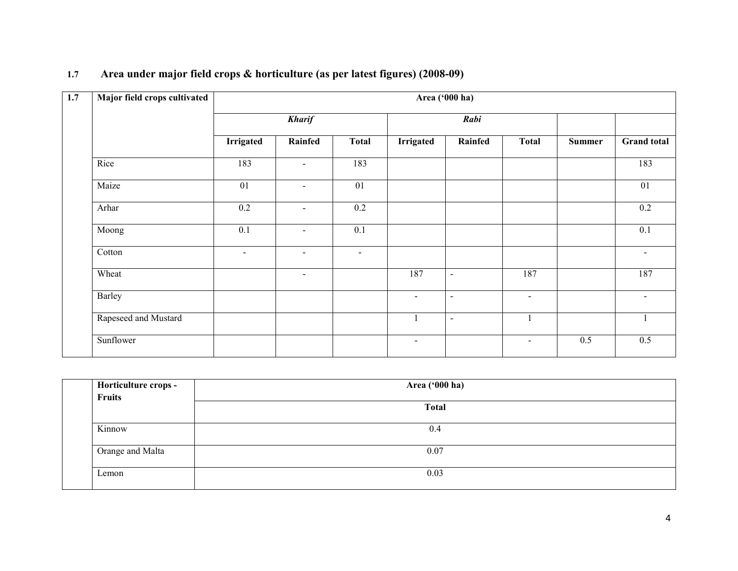| Major field crops cultivated | Area ('000 ha)   |                          |                 |                  |                          |                          |        |                          |
|------------------------------|------------------|--------------------------|-----------------|------------------|--------------------------|--------------------------|--------|--------------------------|
|                              |                  | <b>Kharif</b>            |                 |                  | Rabi                     |                          |        |                          |
|                              | <b>Irrigated</b> | Rainfed                  | <b>Total</b>    | <b>Irrigated</b> | Rainfed                  | <b>Total</b>             | Summer | <b>Grand</b> total       |
| Rice                         | 183              | $\sim$                   | 183             |                  |                          |                          |        | 183                      |
| Maize                        | 01               |                          | $\overline{01}$ |                  |                          |                          |        | $\overline{01}$          |
| Arhar                        | 0.2              | $\overline{\phantom{a}}$ | 0.2             |                  |                          |                          |        | $0.2\,$                  |
| Moong                        | 0.1              | $\overline{\phantom{a}}$ | 0.1             |                  |                          |                          |        | 0.1                      |
| Cotton                       | $\blacksquare$   | $\blacksquare$           | $\blacksquare$  |                  |                          |                          |        | $\overline{\phantom{a}}$ |
| Wheat                        |                  | $\blacksquare$           |                 | 187              | $\blacksquare$           | 187                      |        | 187                      |
| Barley                       |                  |                          |                 | $\blacksquare$   | $\overline{\phantom{a}}$ | $\overline{\phantom{a}}$ |        |                          |
| Rapeseed and Mustard         |                  |                          |                 |                  | $\overline{\phantom{a}}$ |                          |        |                          |
| Sunflower                    |                  |                          |                 | $\blacksquare$   |                          | $\blacksquare$           | 0.5    | 0.5                      |

#### 1.7 Area under major field crops & horticulture (as per latest figures) (2008-09)

| Horticulture crops - | Area ('000 ha) |
|----------------------|----------------|
| Fruits               |                |
|                      | <b>Total</b>   |
|                      |                |
| Kinnow               | 0.4            |
| Orange and Malta     | 0.07           |
| Lemon                | 0.03           |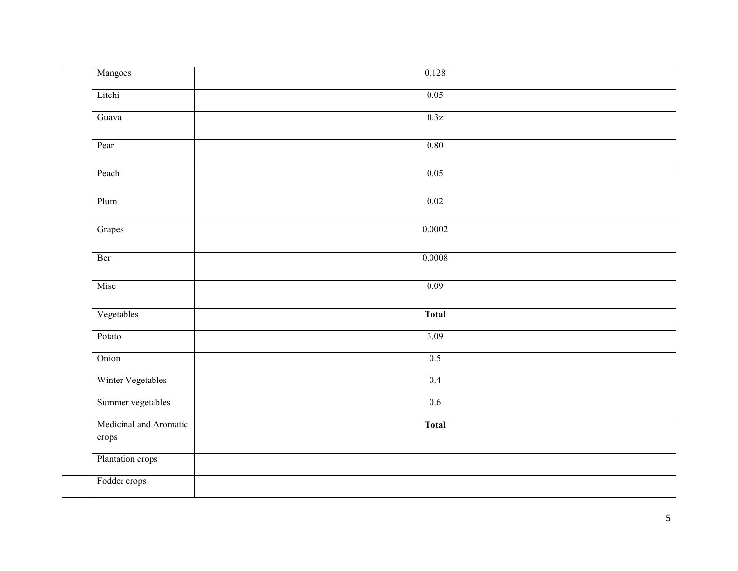| Mangoes                         | 0.128        |  |
|---------------------------------|--------------|--|
| Litchi                          | 0.05         |  |
| Guava                           | 0.3z         |  |
| Pear                            | 0.80         |  |
| Peach                           | 0.05         |  |
| Plum                            | 0.02         |  |
| Grapes                          | 0.0002       |  |
| Ber                             | 0.0008       |  |
| Misc                            | 0.09         |  |
| Vegetables                      | <b>Total</b> |  |
| Potato                          | 3.09         |  |
| Onion                           | 0.5          |  |
| Winter Vegetables               | 0.4          |  |
| Summer vegetables               | 0.6          |  |
| Medicinal and Aromatic<br>crops | <b>Total</b> |  |
| Plantation crops                |              |  |
| Fodder crops                    |              |  |
|                                 |              |  |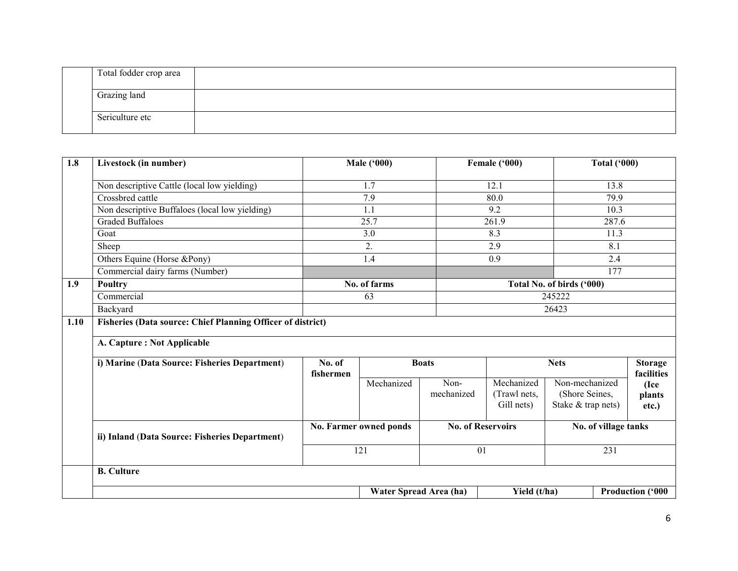| Total fodder crop area |  |
|------------------------|--|
| Grazing land           |  |
| Sericulture etc        |  |

| 1.8  | Livestock (in number)                                       |                        | <b>Male ('000)</b>     |                          | Female ('000)                            |                                                        | <b>Total ('000)</b> |                              |
|------|-------------------------------------------------------------|------------------------|------------------------|--------------------------|------------------------------------------|--------------------------------------------------------|---------------------|------------------------------|
|      | Non descriptive Cattle (local low yielding)                 |                        | 1.7                    |                          | 12.1                                     |                                                        | 13.8                |                              |
|      | Crossbred cattle                                            |                        | 7.9                    |                          | 80.0                                     |                                                        | 79.9                |                              |
|      | Non descriptive Buffaloes (local low yielding)              |                        | 1.1                    |                          | 9.2                                      |                                                        | 10.3                |                              |
|      | <b>Graded Buffaloes</b>                                     |                        | 25.7                   |                          | 261.9                                    |                                                        | 287.6               |                              |
|      | Goat                                                        |                        | 3.0                    |                          | 8.3                                      |                                                        | 11.3                |                              |
|      | Sheep                                                       |                        | 2.                     |                          | 2.9                                      |                                                        | 8.1                 |                              |
|      | Others Equine (Horse &Pony)                                 |                        | 1.4                    |                          | 0.9                                      |                                                        | 2.4                 |                              |
|      | Commercial dairy farms (Number)                             |                        |                        |                          |                                          |                                                        | 177                 |                              |
| 1.9  | Poultry                                                     |                        | No. of farms           |                          |                                          | Total No. of birds ('000)                              |                     |                              |
|      | Commercial                                                  |                        | 63                     |                          |                                          | 245222                                                 |                     |                              |
|      | Backyard                                                    |                        | 26423                  |                          |                                          |                                                        |                     |                              |
| 1.10 | Fisheries (Data source: Chief Planning Officer of district) |                        |                        |                          |                                          |                                                        |                     |                              |
|      | A. Capture : Not Applicable                                 |                        |                        |                          |                                          |                                                        |                     |                              |
|      | i) Marine (Data Source: Fisheries Department)               | No. of<br>fishermen    |                        | <b>Boats</b>             |                                          | <b>Nets</b>                                            |                     | <b>Storage</b><br>facilities |
|      |                                                             |                        | Mechanized             | Non-<br>mechanized       | Mechanized<br>(Trawl nets,<br>Gill nets) | Non-mechanized<br>(Shore Seines,<br>Stake & trap nets) |                     | (Ice<br>plants<br>etc.)      |
|      | ii) Inland (Data Source: Fisheries Department)              | No. Farmer owned ponds |                        | <b>No. of Reservoirs</b> |                                          | No. of village tanks                                   |                     |                              |
|      |                                                             |                        | 121                    |                          | 01                                       |                                                        | 231                 |                              |
|      | <b>B.</b> Culture                                           |                        |                        |                          |                                          |                                                        |                     |                              |
|      |                                                             |                        | Water Spread Area (ha) |                          | Yield (t/ha)                             |                                                        |                     | <b>Production ('000</b>      |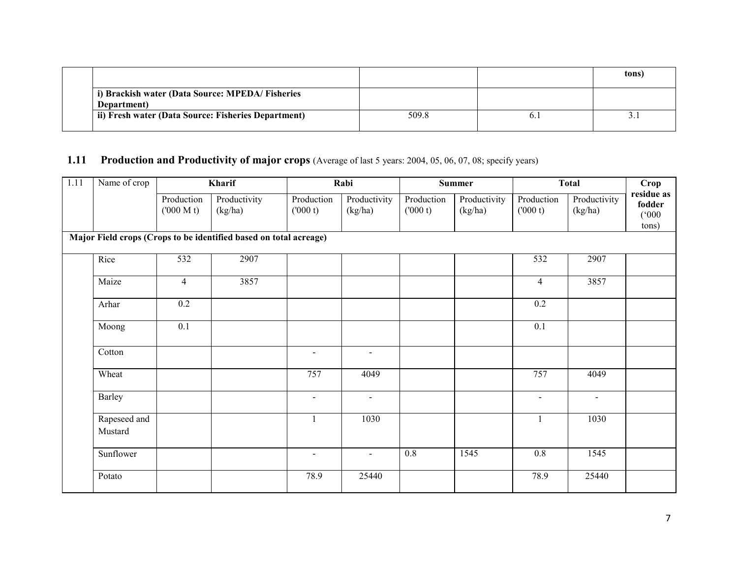|                                                                |       |     | tons) |
|----------------------------------------------------------------|-------|-----|-------|
| i) Brackish water (Data Source: MPEDA/Fisheries<br>Department) |       |     |       |
| ii) Fresh water (Data Source: Fisheries Department)            | 509.8 | 0.1 |       |

## 1.11 Production and Productivity of major crops (Average of last 5 years: 2004, 05, 06, 07, 08; specify years)

| 1.11 | Name of crop            |                         | Kharif                                                            |                       | Rabi                    | <b>Summer</b>         |                         | <b>Total</b>          |                         | Crop                                   |
|------|-------------------------|-------------------------|-------------------------------------------------------------------|-----------------------|-------------------------|-----------------------|-------------------------|-----------------------|-------------------------|----------------------------------------|
|      |                         | Production<br>(000 M t) | Productivity<br>(kg/ha)                                           | Production<br>(000 t) | Productivity<br>(kg/ha) | Production<br>(000 t) | Productivity<br>(kg/ha) | Production<br>(000 t) | Productivity<br>(kg/ha) | residue as<br>fodder<br>(000)<br>tons) |
|      |                         |                         | Major Field crops (Crops to be identified based on total acreage) |                       |                         |                       |                         |                       |                         |                                        |
|      | Rice                    | 532                     | 2907                                                              |                       |                         |                       |                         | 532                   | 2907                    |                                        |
|      | Maize                   | $\overline{4}$          | 3857                                                              |                       |                         |                       |                         | $\overline{4}$        | 3857                    |                                        |
|      | Arhar                   | 0.2                     |                                                                   |                       |                         |                       |                         | 0.2                   |                         |                                        |
|      | Moong                   | 0.1                     |                                                                   |                       |                         |                       |                         | 0.1                   |                         |                                        |
|      | Cotton                  |                         |                                                                   | $\sim$                | $\blacksquare$          |                       |                         |                       |                         |                                        |
|      | Wheat                   |                         |                                                                   | 757                   | 4049                    |                       |                         | 757                   | 4049                    |                                        |
|      | Barley                  |                         |                                                                   | $\sim$                | $\sim$                  |                       |                         | $\sim$                | $\sim$                  |                                        |
|      | Rapeseed and<br>Mustard |                         |                                                                   | $\mathbf{1}$          | 1030                    |                       |                         | $\mathbf{1}$          | 1030                    |                                        |
|      | Sunflower               |                         |                                                                   | $\blacksquare$        | $\blacksquare$          | $0.8\,$               | 1545                    | $0.8\,$               | 1545                    |                                        |
|      | Potato                  |                         |                                                                   | 78.9                  | 25440                   |                       |                         | 78.9                  | 25440                   |                                        |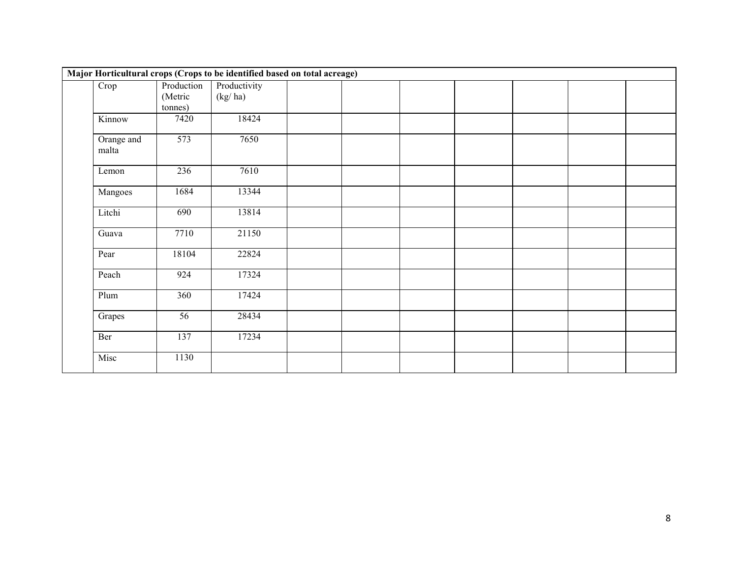|                     |                                  | Major Horticultural crops (Crops to be identified based on total acreage) |  |  |  |  |
|---------------------|----------------------------------|---------------------------------------------------------------------------|--|--|--|--|
| Crop                | Production<br>(Metric<br>tonnes) | Productivity<br>(kg/ha)                                                   |  |  |  |  |
| Kinnow              | 7420                             | 18424                                                                     |  |  |  |  |
| Orange and<br>malta | 573                              | 7650                                                                      |  |  |  |  |
| Lemon               | 236                              | 7610                                                                      |  |  |  |  |
| Mangoes             | 1684                             | 13344                                                                     |  |  |  |  |
| Litchi              | 690                              | 13814                                                                     |  |  |  |  |
| Guava               | 7710                             | 21150                                                                     |  |  |  |  |
| Pear                | 18104                            | 22824                                                                     |  |  |  |  |
| Peach               | 924                              | 17324                                                                     |  |  |  |  |
| Plum                | 360                              | 17424                                                                     |  |  |  |  |
| Grapes              | 56                               | 28434                                                                     |  |  |  |  |
| Ber                 | 137                              | 17234                                                                     |  |  |  |  |
| Misc                | 1130                             |                                                                           |  |  |  |  |
|                     |                                  |                                                                           |  |  |  |  |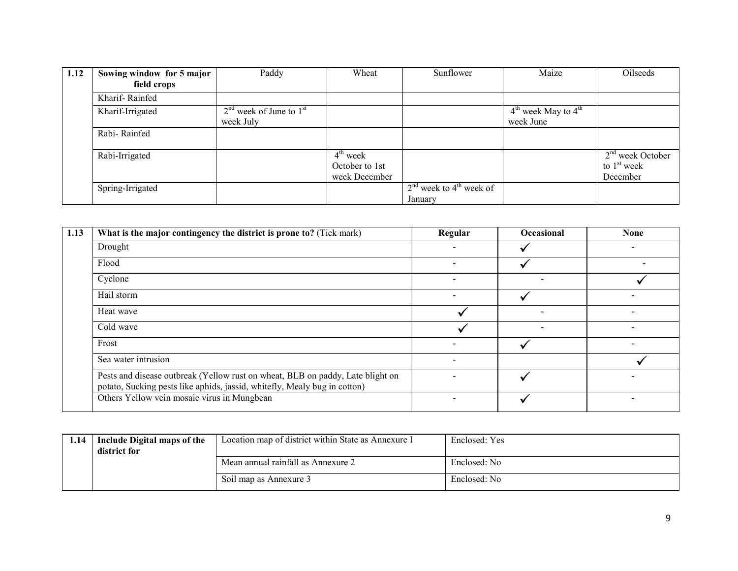| 1.12 | Sowing window for 5 major | Paddy                       | Wheat                | Sunflower                             | Maize                   | Oilseeds           |
|------|---------------------------|-----------------------------|----------------------|---------------------------------------|-------------------------|--------------------|
|      | field crops               |                             |                      |                                       |                         |                    |
|      | Kharif-Rainfed            |                             |                      |                                       |                         |                    |
|      | Kharif-Irrigated          | $2nd$ week of June to $1st$ |                      |                                       | $4th$ week May to $4th$ |                    |
|      |                           | week July                   |                      |                                       | week June               |                    |
|      | Rabi-Rainfed              |                             |                      |                                       |                         |                    |
|      |                           |                             | $4^{\text{th}}$ week |                                       |                         | $2nd$ week October |
|      | Rabi-Irrigated            |                             |                      |                                       |                         |                    |
|      |                           |                             | October to 1st       |                                       |                         | to $1st$ week      |
|      |                           |                             | week December        |                                       |                         | December           |
|      | Spring-Irrigated          |                             |                      | $2nd$ week to 4 <sup>th</sup> week of |                         |                    |
|      |                           |                             |                      | January                               |                         |                    |

| 1.13 | What is the major contingency the district is prone to? (Tick mark)                                                                                         | Regular                  | Occasional | <b>None</b> |
|------|-------------------------------------------------------------------------------------------------------------------------------------------------------------|--------------------------|------------|-------------|
|      | Drought                                                                                                                                                     |                          |            |             |
|      | Flood                                                                                                                                                       | $\overline{\phantom{a}}$ |            |             |
|      | Cyclone                                                                                                                                                     |                          |            |             |
|      | Hail storm                                                                                                                                                  |                          |            |             |
|      | Heat wave                                                                                                                                                   |                          |            |             |
|      | Cold wave                                                                                                                                                   |                          |            |             |
|      | Frost                                                                                                                                                       | $\overline{\phantom{a}}$ |            |             |
|      | Sea water intrusion                                                                                                                                         | $\overline{\phantom{0}}$ |            |             |
|      | Pests and disease outbreak (Yellow rust on wheat, BLB on paddy, Late blight on<br>potato, Sucking pests like aphids, jassid, whitefly, Mealy bug in cotton) |                          |            |             |
|      | Others Yellow vein mosaic virus in Mungbean                                                                                                                 |                          |            |             |

| 1.14 | Include Digital maps of the<br>district for | Location map of district within State as Annexure I | Enclosed: Yes |
|------|---------------------------------------------|-----------------------------------------------------|---------------|
|      |                                             | Mean annual rainfall as Annexure 2                  | Enclosed: No  |
|      |                                             | Soil map as Annexure 3                              | Enclosed: No  |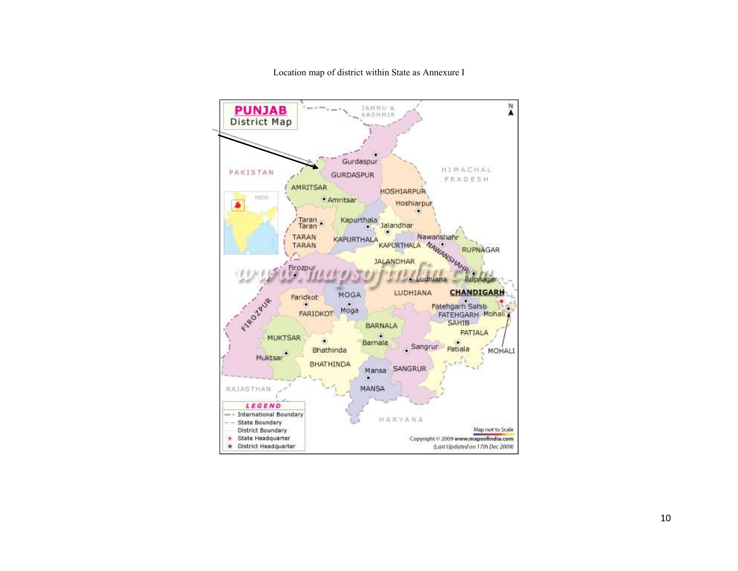

Location map of district within State as Annexure I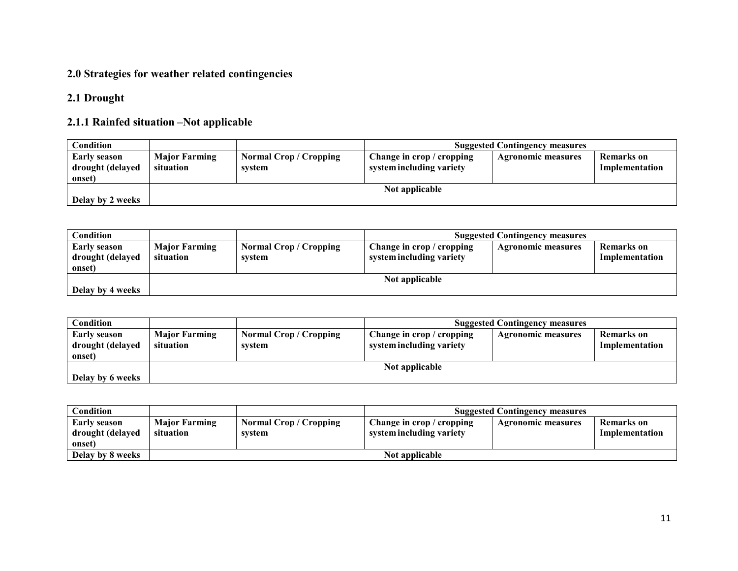#### 2.0 Strategies for weather related contingencies

#### 2.1 Drought

### 2.1.1 Rainfed situation –Not applicable

| Condition                                  | <b>Suggested Contingency measures</b> |                                         |                                                       |                    |                              |
|--------------------------------------------|---------------------------------------|-----------------------------------------|-------------------------------------------------------|--------------------|------------------------------|
| Early season<br>drought (delayed<br>onset) | <b>Major Farming</b><br>situation     | <b>Normal Crop / Cropping</b><br>system | Change in crop / cropping<br>system including variety | Agronomic measures | Remarks on<br>Implementation |
|                                            |                                       |                                         | Not applicable                                        |                    |                              |
| Delay by 2 weeks                           |                                       |                                         |                                                       |                    |                              |

| Condition                                  |                                   | <b>Suggested Contingency measures</b> |                                                       |                           |                              |  |
|--------------------------------------------|-----------------------------------|---------------------------------------|-------------------------------------------------------|---------------------------|------------------------------|--|
| Early season<br>drought (delayed<br>onset) | <b>Major Farming</b><br>situation | <b>Normal Crop/Cropping</b><br>system | Change in crop / cropping<br>system including variety | <b>Agronomic measures</b> | Remarks on<br>Implementation |  |
|                                            |                                   |                                       | Not applicable                                        |                           |                              |  |
| Delay by 4 weeks                           |                                   |                                       |                                                       |                           |                              |  |

| Condition                                  | <b>Suggested Contingency measures</b> |                                       |                                                       |                           |                              |
|--------------------------------------------|---------------------------------------|---------------------------------------|-------------------------------------------------------|---------------------------|------------------------------|
| Early season<br>drought (delayed<br>onset) | <b>Major Farming</b><br>situation     | <b>Normal Crop/Cropping</b><br>system | Change in crop / cropping<br>system including variety | <b>Agronomic measures</b> | Remarks on<br>Implementation |
| Delay by 6 weeks                           |                                       |                                       | Not applicable                                        |                           |                              |
|                                            |                                       |                                       |                                                       |                           |                              |

| <b>Condition</b>                                  |                                   |                                       | <b>Suggested Contingency measures</b>                 |                    |                              |  |
|---------------------------------------------------|-----------------------------------|---------------------------------------|-------------------------------------------------------|--------------------|------------------------------|--|
| <b>Early season</b><br>drought (delayed<br>onset) | <b>Major Farming</b><br>situation | <b>Normal Crop/Cropping</b><br>system | Change in crop / cropping<br>system including variety | Agronomic measures | Remarks on<br>Implementation |  |
| Delay by 8 weeks                                  |                                   | Not applicable                        |                                                       |                    |                              |  |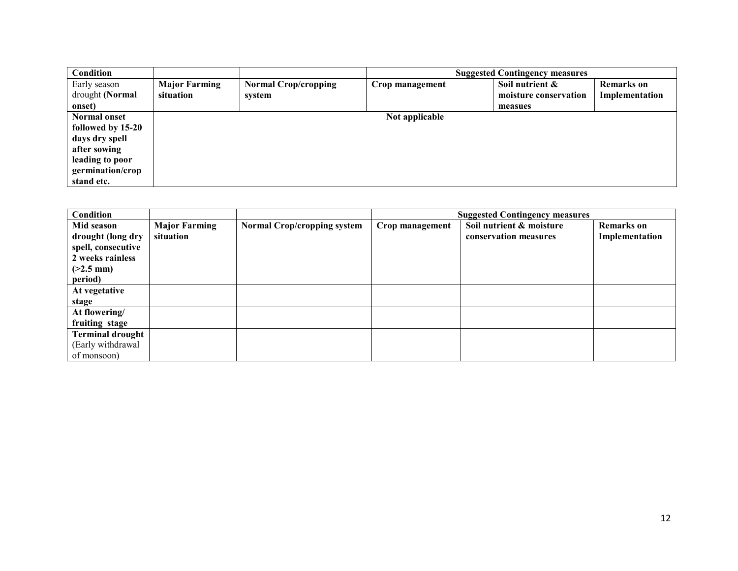| <b>Condition</b>    |                      |                             | <b>Suggested Contingency measures</b> |                       |                   |  |
|---------------------|----------------------|-----------------------------|---------------------------------------|-----------------------|-------------------|--|
| Early season        | <b>Major Farming</b> | <b>Normal Crop/cropping</b> | Crop management                       | Soil nutrient &       | <b>Remarks</b> on |  |
| drought (Normal     | situation            | system                      |                                       | moisture conservation | Implementation    |  |
| onset)              |                      |                             |                                       | measues               |                   |  |
| <b>Normal onset</b> |                      |                             | Not applicable                        |                       |                   |  |
| followed by 15-20   |                      |                             |                                       |                       |                   |  |
| days dry spell      |                      |                             |                                       |                       |                   |  |
| after sowing        |                      |                             |                                       |                       |                   |  |
| leading to poor     |                      |                             |                                       |                       |                   |  |
| germination/crop    |                      |                             |                                       |                       |                   |  |
| stand etc.          |                      |                             |                                       |                       |                   |  |

| Condition               |                      |                                    | <b>Suggested Contingency measures</b> |                          |                   |  |
|-------------------------|----------------------|------------------------------------|---------------------------------------|--------------------------|-------------------|--|
| Mid season              | <b>Major Farming</b> | <b>Normal Crop/cropping system</b> | Crop management                       | Soil nutrient & moisture | <b>Remarks</b> on |  |
| drought (long dry       | situation            |                                    |                                       | conservation measures    | Implementation    |  |
| spell, consecutive      |                      |                                    |                                       |                          |                   |  |
| 2 weeks rainless        |                      |                                    |                                       |                          |                   |  |
| $(>2.5$ mm)             |                      |                                    |                                       |                          |                   |  |
| period)                 |                      |                                    |                                       |                          |                   |  |
| At vegetative           |                      |                                    |                                       |                          |                   |  |
| stage                   |                      |                                    |                                       |                          |                   |  |
| At flowering/           |                      |                                    |                                       |                          |                   |  |
| fruiting stage          |                      |                                    |                                       |                          |                   |  |
| <b>Terminal drought</b> |                      |                                    |                                       |                          |                   |  |
| (Early withdrawal       |                      |                                    |                                       |                          |                   |  |
| of monsoon)             |                      |                                    |                                       |                          |                   |  |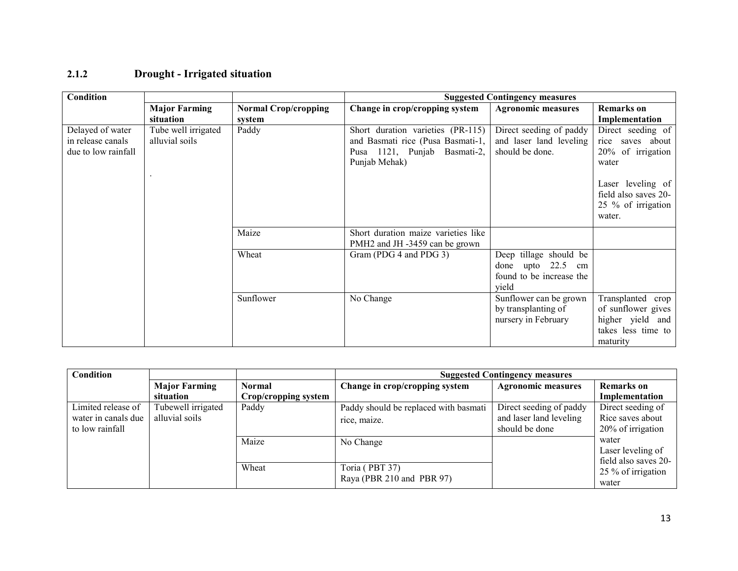| Condition                                                    |                                       |                             |                                                                                                                         | <b>Suggested Contingency measures</b>                                                    |                                                                                                                  |
|--------------------------------------------------------------|---------------------------------------|-----------------------------|-------------------------------------------------------------------------------------------------------------------------|------------------------------------------------------------------------------------------|------------------------------------------------------------------------------------------------------------------|
|                                                              | <b>Major Farming</b>                  | <b>Normal Crop/cropping</b> | Change in crop/cropping system                                                                                          | <b>Agronomic measures</b>                                                                | <b>Remarks</b> on                                                                                                |
|                                                              | situation                             | system                      |                                                                                                                         |                                                                                          | Implementation                                                                                                   |
| Delayed of water<br>in release canals<br>due to low rainfall | Tube well irrigated<br>alluvial soils | Paddy                       | Short duration varieties (PR-115)<br>and Basmati rice (Pusa Basmati-1,<br>Pusa 1121, Punjab Basmati-2,<br>Punjab Mehak) | Direct seeding of paddy<br>and laser land leveling<br>should be done.                    | Direct seeding of<br>rice saves about<br>20% of irrigation<br>water<br>Laser leveling of<br>field also saves 20- |
|                                                              |                                       |                             |                                                                                                                         |                                                                                          | 25 % of irrigation<br>water.                                                                                     |
|                                                              |                                       | Maize                       | Short duration maize varieties like<br>PMH2 and JH -3459 can be grown                                                   |                                                                                          |                                                                                                                  |
|                                                              |                                       | Wheat                       | Gram (PDG 4 and PDG 3)                                                                                                  | Deep tillage should be<br>done<br>upto $22.5$<br>cm<br>found to be increase the<br>yield |                                                                                                                  |
|                                                              |                                       | Sunflower                   | No Change                                                                                                               | Sunflower can be grown<br>by transplanting of<br>nursery in February                     | Transplanted crop<br>of sunflower gives<br>higher yield and<br>takes less time to<br>maturity                    |

## 2.1.2 Drought - Irrigated situation

| Condition           |                      |                           | <b>Suggested Contingency measures</b> |                           |                      |
|---------------------|----------------------|---------------------------|---------------------------------------|---------------------------|----------------------|
|                     | <b>Major Farming</b> | <b>Normal</b>             | Change in crop/cropping system        | <b>Agronomic measures</b> | <b>Remarks</b> on    |
|                     | situation            | Crop/cropping system      |                                       |                           | Implementation       |
| Limited release of  | Tubewell irrigated   | Paddy                     | Paddy should be replaced with basmati | Direct seeding of paddy   | Direct seeding of    |
| water in canals due | alluvial soils       |                           | rice, maize.                          | and laser land leveling   | Rice saves about     |
| to low rainfall     |                      |                           |                                       | should be done            | 20% of irrigation    |
|                     |                      | Maize                     | No Change                             |                           | water                |
|                     |                      |                           |                                       |                           | Laser leveling of    |
|                     |                      |                           |                                       |                           | field also saves 20- |
|                     |                      | Wheat                     | Toria (PBT 37)                        |                           | 25 % of irrigation   |
|                     |                      | Raya (PBR 210 and PBR 97) |                                       |                           | water                |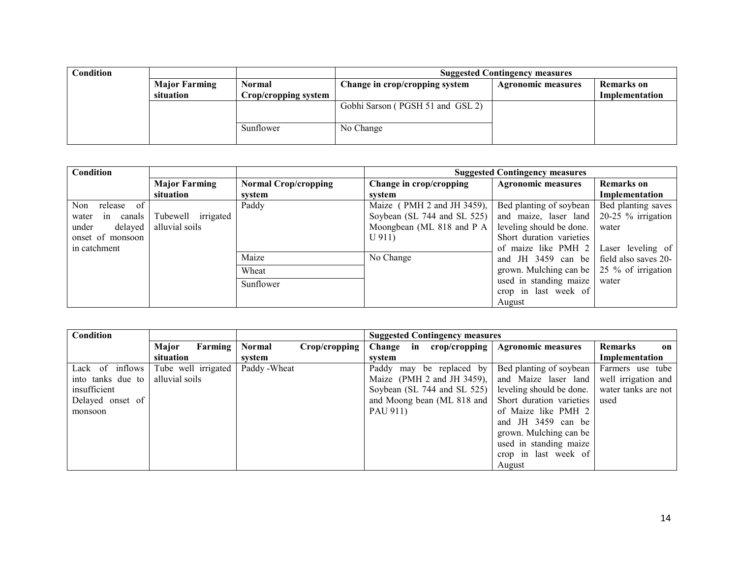| Condition |                      |                      | <b>Suggested Contingency measures</b> |                           |                   |  |
|-----------|----------------------|----------------------|---------------------------------------|---------------------------|-------------------|--|
|           | <b>Major Farming</b> | Normal               | Change in crop/cropping system        | <b>Agronomic measures</b> | <b>Remarks</b> on |  |
|           | situation            | Crop/cropping system |                                       |                           | Implementation    |  |
|           |                      |                      | Gobhi Sarson (PGSH 51 and GSL 2)      |                           |                   |  |
|           |                      |                      |                                       |                           |                   |  |
|           |                      | Sunflower            | No Change                             |                           |                   |  |
|           |                      |                      |                                       |                           |                   |  |

| Condition             |                      |                             | <b>Suggested Contingency measures</b> |                                           |                    |
|-----------------------|----------------------|-----------------------------|---------------------------------------|-------------------------------------------|--------------------|
|                       | <b>Major Farming</b> | <b>Normal Crop/cropping</b> | Change in crop/cropping               | <b>Agronomic measures</b>                 | <b>Remarks</b> on  |
|                       | situation            | system                      | system                                |                                           | Implementation     |
| Non<br>release of     |                      | Paddy                       | Maize (PMH 2 and JH 3459),            | Bed planting of soybean                   | Bed planting saves |
| canals<br>water<br>in | Tubewell irrigated   |                             | Soybean (SL 744 and SL 525)           | and maize, laser land                     | 20-25 % irrigation |
| delayed<br>under      | alluvial soils       |                             | Moongbean (ML 818 and P A             | leveling should be done.                  | water              |
| onset of monsoon      |                      |                             | $U$ 911)                              | Short duration varieties                  |                    |
| in catchment          |                      |                             |                                       | of maize like PMH 2                       | Laser leveling of  |
|                       |                      | Maize                       | No Change                             | and JH $3459$ can be field also saves 20- |                    |
|                       |                      | Wheat                       |                                       | grown. Mulching can be                    | 25 % of irrigation |
|                       |                      | Sunflower                   |                                       | used in standing maize                    | water              |
|                       |                      |                             |                                       | crop in last week of                      |                    |
|                       |                      |                             |                                       | August                                    |                    |

| Condition         |                     |               |               | <b>Suggested Contingency measures</b> |                           |                      |
|-------------------|---------------------|---------------|---------------|---------------------------------------|---------------------------|----------------------|
|                   | Major<br>Farming    | <b>Normal</b> | Crop/cropping | Change in crop/cropping               | <b>Agronomic measures</b> | <b>Remarks</b><br>on |
|                   | situation           | svstem        |               | system                                |                           | Implementation       |
| Lack of inflows   | Tube well irrigated | Paddy - Wheat |               | Paddy may be replaced by              | Bed planting of soybean   | Farmers use tube     |
| into tanks due to | alluvial soils      |               |               | Maize (PMH 2 and JH 3459),            | and Maize laser land      | well irrigation and  |
| insufficient      |                     |               |               | Soybean (SL 744 and SL 525)           | leveling should be done.  | water tanks are not  |
| Delayed onset of  |                     |               |               | and Moong bean (ML 818 and            | Short duration varieties  | used                 |
| monsoon           |                     |               |               | PAU 911)                              | of Maize like PMH 2       |                      |
|                   |                     |               |               |                                       | and JH 3459 can be        |                      |
|                   |                     |               |               |                                       | grown. Mulching can be    |                      |
|                   |                     |               |               |                                       | used in standing maize    |                      |
|                   |                     |               |               |                                       | crop in last week of      |                      |
|                   |                     |               |               |                                       | August                    |                      |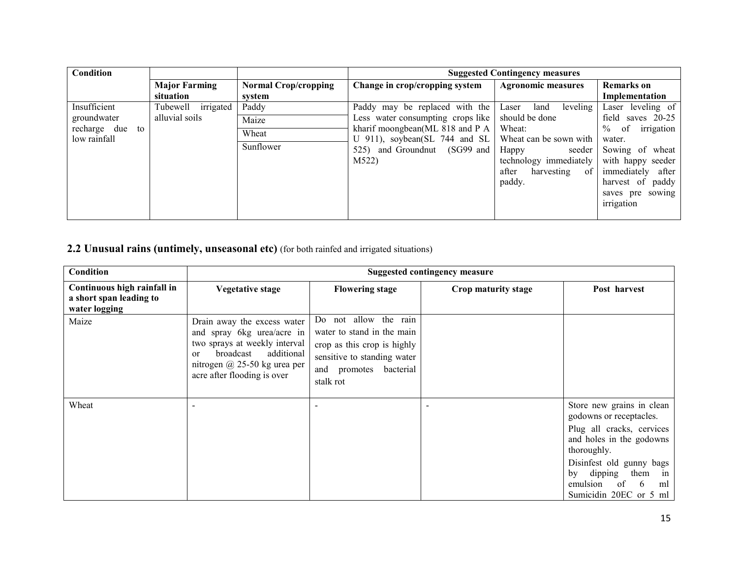| Condition          |                      |                             |                                   | <b>Suggested Contingency measures</b> |                          |
|--------------------|----------------------|-----------------------------|-----------------------------------|---------------------------------------|--------------------------|
|                    | <b>Major Farming</b> | <b>Normal Crop/cropping</b> | Change in crop/cropping system    | <b>Agronomic measures</b>             | <b>Remarks</b> on        |
|                    | situation            | system                      |                                   |                                       | Implementation           |
| Insufficient       | Tubewell irrigated   | Paddy                       | Paddy may be replaced with the    | leveling<br>land<br>Laser             | Laser leveling of        |
| groundwater        | alluvial soils       | Maize                       | Less water consumpting crops like | should be done                        | field<br>saves $20-25$   |
| recharge due<br>to |                      | Wheat                       | kharif moongbean(ML 818 and P A   | Wheat:                                | of<br>$\%$<br>irrigation |
| low rainfall       |                      |                             | U 911), soybean(SL 744 and SL     | Wheat can be sown with                | water.                   |
|                    |                      | Sunflower                   | 525) and Groundnut (SG99 and      | Happy<br>seeder 1                     | Sowing of wheat          |
|                    |                      |                             | M522)                             | technology immediately                | with happy seeder        |
|                    |                      |                             |                                   | after<br>harvesting<br>of             | immediately after        |
|                    |                      |                             |                                   | paddy.                                | harvest of paddy         |
|                    |                      |                             |                                   |                                       | saves pre sowing         |
|                    |                      |                             |                                   |                                       | irrigation               |
|                    |                      |                             |                                   |                                       |                          |

2.2 Unusual rains (untimely, unseasonal etc) (for both rainfed and irrigated situations)

| Condition                                                               | <b>Suggested contingency measure</b>                                                                                                                                                                  |                                                                                                                                                          |                     |                                                                                                                                                                                                                                                 |
|-------------------------------------------------------------------------|-------------------------------------------------------------------------------------------------------------------------------------------------------------------------------------------------------|----------------------------------------------------------------------------------------------------------------------------------------------------------|---------------------|-------------------------------------------------------------------------------------------------------------------------------------------------------------------------------------------------------------------------------------------------|
| Continuous high rainfall in<br>a short span leading to<br>water logging | <b>Vegetative stage</b>                                                                                                                                                                               | <b>Flowering stage</b>                                                                                                                                   | Crop maturity stage | Post harvest                                                                                                                                                                                                                                    |
| Maize                                                                   | Drain away the excess water<br>and spray 6kg urea/acre in<br>two sprays at weekly interval<br>additional<br>broadcast<br><sub>or</sub><br>nitrogen @ 25-50 kg urea per<br>acre after flooding is over | Do not allow the rain<br>water to stand in the main<br>crop as this crop is highly<br>sensitive to standing water<br>and promotes bacterial<br>stalk rot |                     |                                                                                                                                                                                                                                                 |
| Wheat                                                                   |                                                                                                                                                                                                       |                                                                                                                                                          |                     | Store new grains in clean<br>godowns or receptacles.<br>Plug all cracks, cervices<br>and holes in the godowns<br>thoroughly.<br>Disinfest old gunny bags<br>dipping<br>them<br>in<br>by<br>emulsion<br>of<br>-6<br>ml<br>Sumicidin 20EC or 5 ml |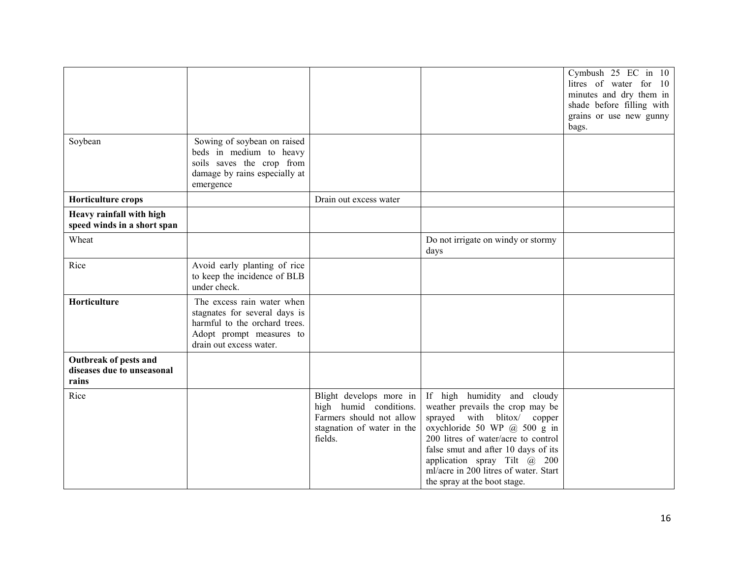| Soybean                                                      | Sowing of soybean on raised<br>beds in medium to heavy<br>soils saves the crop from<br>damage by rains especially at<br>emergence                   |                                                                                                                        |                                                                                                                                                                                                                                                                                                                       | Cymbush $25$ EC in $10$<br>litres of water for 10<br>minutes and dry them in<br>shade before filling with<br>grains or use new gunny<br>bags. |
|--------------------------------------------------------------|-----------------------------------------------------------------------------------------------------------------------------------------------------|------------------------------------------------------------------------------------------------------------------------|-----------------------------------------------------------------------------------------------------------------------------------------------------------------------------------------------------------------------------------------------------------------------------------------------------------------------|-----------------------------------------------------------------------------------------------------------------------------------------------|
| Horticulture crops                                           |                                                                                                                                                     | Drain out excess water                                                                                                 |                                                                                                                                                                                                                                                                                                                       |                                                                                                                                               |
| Heavy rainfall with high<br>speed winds in a short span      |                                                                                                                                                     |                                                                                                                        |                                                                                                                                                                                                                                                                                                                       |                                                                                                                                               |
| Wheat                                                        |                                                                                                                                                     |                                                                                                                        | Do not irrigate on windy or stormy<br>days                                                                                                                                                                                                                                                                            |                                                                                                                                               |
| Rice                                                         | Avoid early planting of rice<br>to keep the incidence of BLB<br>under check.                                                                        |                                                                                                                        |                                                                                                                                                                                                                                                                                                                       |                                                                                                                                               |
| Horticulture                                                 | The excess rain water when<br>stagnates for several days is<br>harmful to the orchard trees.<br>Adopt prompt measures to<br>drain out excess water. |                                                                                                                        |                                                                                                                                                                                                                                                                                                                       |                                                                                                                                               |
| Outbreak of pests and<br>diseases due to unseasonal<br>rains |                                                                                                                                                     |                                                                                                                        |                                                                                                                                                                                                                                                                                                                       |                                                                                                                                               |
| Rice                                                         |                                                                                                                                                     | Blight develops more in<br>high humid conditions.<br>Farmers should not allow<br>stagnation of water in the<br>fields. | If high humidity and cloudy<br>weather prevails the crop may be<br>sprayed with blitox/ copper<br>oxychloride 50 WP @ 500 g in<br>200 litres of water/acre to control<br>false smut and after 10 days of its<br>application spray Tilt @ 200<br>ml/acre in 200 litres of water. Start<br>the spray at the boot stage. |                                                                                                                                               |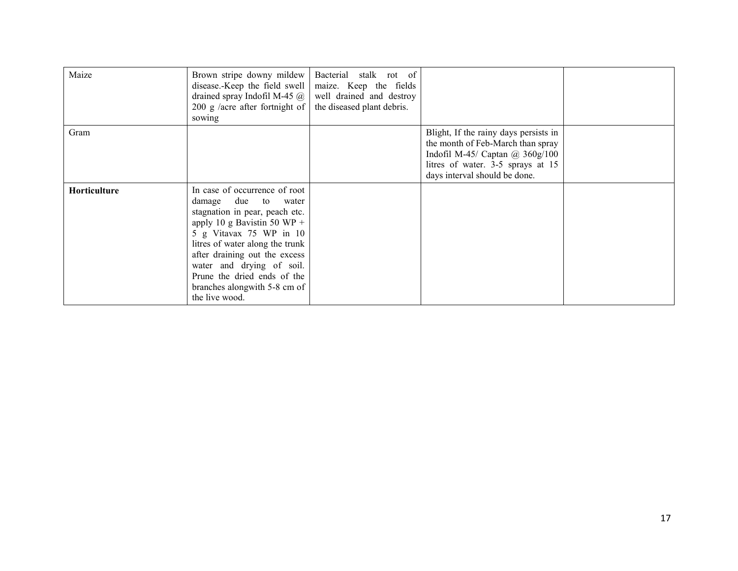| Maize               | Brown stripe downy mildew<br>disease.-Keep the field swell<br>drained spray Indofil M-45 $\omega$<br>200 g /acre after fortnight of<br>sowing                                                                                                                                                                                      | Bacterial stalk rot of<br>maize. Keep the fields<br>well drained and destroy<br>the diseased plant debris. |                                                                                                                                                                                            |  |
|---------------------|------------------------------------------------------------------------------------------------------------------------------------------------------------------------------------------------------------------------------------------------------------------------------------------------------------------------------------|------------------------------------------------------------------------------------------------------------|--------------------------------------------------------------------------------------------------------------------------------------------------------------------------------------------|--|
| Gram                |                                                                                                                                                                                                                                                                                                                                    |                                                                                                            | Blight, If the rainy days persists in<br>the month of Feb-March than spray<br>Indofil M-45/ Captan $\omega$ 360g/100<br>litres of water. 3-5 sprays at 15<br>days interval should be done. |  |
| <b>Horticulture</b> | In case of occurrence of root<br>damage due to water<br>stagnation in pear, peach etc.<br>apply 10 g Bavistin 50 WP +<br>5 g Vitavax 75 WP in 10<br>litres of water along the trunk<br>after draining out the excess<br>water and drying of soil.<br>Prune the dried ends of the<br>branches alongwith 5-8 cm of<br>the live wood. |                                                                                                            |                                                                                                                                                                                            |  |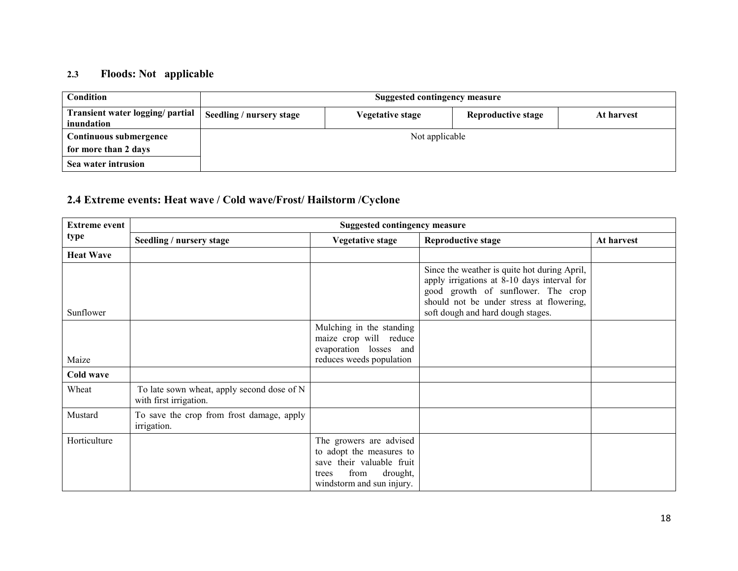## 2.3 Floods: Not applicable

| <b>Condition</b>                               | <b>Suggested contingency measure</b> |                  |                           |            |  |
|------------------------------------------------|--------------------------------------|------------------|---------------------------|------------|--|
| Transient water logging/ partial<br>inundation | Seedling / nursery stage             | Vegetative stage | <b>Reproductive stage</b> | At harvest |  |
| Continuous submergence                         | Not applicable                       |                  |                           |            |  |
| for more than 2 days                           |                                      |                  |                           |            |  |
| Sea water intrusion                            |                                      |                  |                           |            |  |

### 2.4 Extreme events: Heat wave / Cold wave/Frost/ Hailstorm /Cyclone

| <b>Extreme event</b> | <b>Suggested contingency measure</b>                                 |                                                                                                                                            |                                                                                                                                                                                                                    |            |  |  |
|----------------------|----------------------------------------------------------------------|--------------------------------------------------------------------------------------------------------------------------------------------|--------------------------------------------------------------------------------------------------------------------------------------------------------------------------------------------------------------------|------------|--|--|
| type                 | Seedling / nursery stage                                             | <b>Vegetative stage</b>                                                                                                                    | <b>Reproductive stage</b>                                                                                                                                                                                          | At harvest |  |  |
| <b>Heat Wave</b>     |                                                                      |                                                                                                                                            |                                                                                                                                                                                                                    |            |  |  |
| Sunflower            |                                                                      |                                                                                                                                            | Since the weather is quite hot during April,<br>apply irrigations at 8-10 days interval for<br>good growth of sunflower. The crop<br>should not be under stress at flowering,<br>soft dough and hard dough stages. |            |  |  |
| Maize                |                                                                      | Mulching in the standing<br>maize crop will reduce<br>evaporation losses and<br>reduces weeds population                                   |                                                                                                                                                                                                                    |            |  |  |
| Cold wave            |                                                                      |                                                                                                                                            |                                                                                                                                                                                                                    |            |  |  |
| Wheat                | To late sown wheat, apply second dose of N<br>with first irrigation. |                                                                                                                                            |                                                                                                                                                                                                                    |            |  |  |
| Mustard              | To save the crop from frost damage, apply<br>irrigation.             |                                                                                                                                            |                                                                                                                                                                                                                    |            |  |  |
| Horticulture         |                                                                      | The growers are advised<br>to adopt the measures to<br>save their valuable fruit<br>from<br>drought,<br>trees<br>windstorm and sun injury. |                                                                                                                                                                                                                    |            |  |  |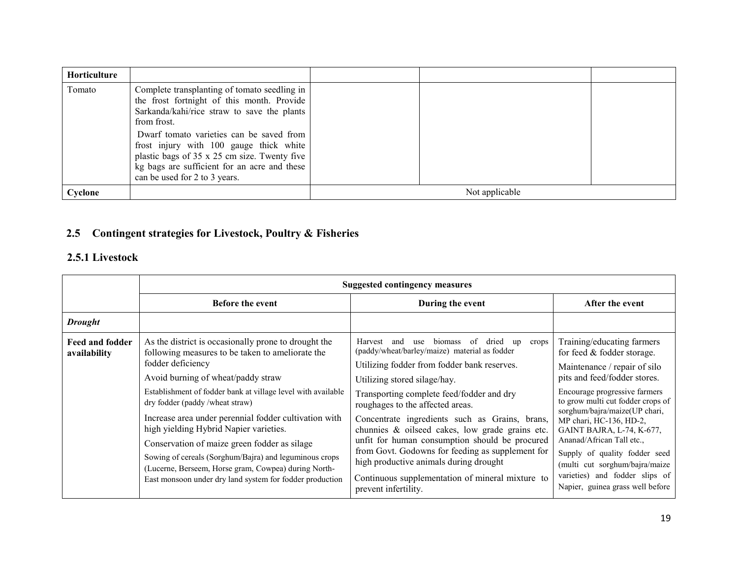| <b>Horticulture</b> |                                                                                                                                                                                                                                                                                                                                                                                  |                |  |
|---------------------|----------------------------------------------------------------------------------------------------------------------------------------------------------------------------------------------------------------------------------------------------------------------------------------------------------------------------------------------------------------------------------|----------------|--|
| Tomato              | Complete transplanting of tomato seedling in<br>the frost fortnight of this month. Provide<br>Sarkanda/kahi/rice straw to save the plants<br>from frost.<br>Dwarf tomato varieties can be saved from<br>frost injury with 100 gauge thick white<br>plastic bags of 35 x 25 cm size. Twenty five<br>kg bags are sufficient for an acre and these<br>can be used for 2 to 3 years. |                |  |
| Cyclone             |                                                                                                                                                                                                                                                                                                                                                                                  | Not applicable |  |

### 2.5 Contingent strategies for Livestock, Poultry & Fisheries

#### 2.5.1 Livestock

|                                 | <b>Suggested contingency measures</b>                                                                                                                                                                                                                                                                                                                                                                                                                                                                                                                                                                  |                                                                                                                                                                                                                                                                                                                                                                                                                                                                                                                                                                                                                   |                                                                                                                                                                                                                                                                                                                                                                                                                                                               |  |  |  |
|---------------------------------|--------------------------------------------------------------------------------------------------------------------------------------------------------------------------------------------------------------------------------------------------------------------------------------------------------------------------------------------------------------------------------------------------------------------------------------------------------------------------------------------------------------------------------------------------------------------------------------------------------|-------------------------------------------------------------------------------------------------------------------------------------------------------------------------------------------------------------------------------------------------------------------------------------------------------------------------------------------------------------------------------------------------------------------------------------------------------------------------------------------------------------------------------------------------------------------------------------------------------------------|---------------------------------------------------------------------------------------------------------------------------------------------------------------------------------------------------------------------------------------------------------------------------------------------------------------------------------------------------------------------------------------------------------------------------------------------------------------|--|--|--|
|                                 | <b>Before the event</b>                                                                                                                                                                                                                                                                                                                                                                                                                                                                                                                                                                                | During the event                                                                                                                                                                                                                                                                                                                                                                                                                                                                                                                                                                                                  | After the event                                                                                                                                                                                                                                                                                                                                                                                                                                               |  |  |  |
| <b>Drought</b>                  |                                                                                                                                                                                                                                                                                                                                                                                                                                                                                                                                                                                                        |                                                                                                                                                                                                                                                                                                                                                                                                                                                                                                                                                                                                                   |                                                                                                                                                                                                                                                                                                                                                                                                                                                               |  |  |  |
| Feed and fodder<br>availability | As the district is occasionally prone to drought the<br>following measures to be taken to ameliorate the<br>fodder deficiency<br>Avoid burning of wheat/paddy straw<br>Establishment of fodder bank at village level with available<br>dry fodder (paddy/wheat straw)<br>Increase area under perennial fodder cultivation with<br>high yielding Hybrid Napier varieties.<br>Conservation of maize green fodder as silage<br>Sowing of cereals (Sorghum/Bajra) and leguminous crops<br>(Lucerne, Berseem, Horse gram, Cowpea) during North-<br>East monsoon under dry land system for fodder production | Harvest<br>biomass<br>-of<br>dried<br>and<br>use<br>crops<br>up<br>(paddy/wheat/barley/maize) material as fodder<br>Utilizing fodder from fodder bank reserves.<br>Utilizing stored silage/hay.<br>Transporting complete feed/fodder and dry<br>roughages to the affected areas.<br>Concentrate ingredients such as Grains, brans,<br>chunnies & oilseed cakes, low grade grains etc.<br>unfit for human consumption should be procured<br>from Govt. Godowns for feeding as supplement for<br>high productive animals during drought<br>Continuous supplementation of mineral mixture to<br>prevent infertility. | Training/educating farmers<br>for feed & fodder storage.<br>Maintenance / repair of silo<br>pits and feed/fodder stores.<br>Encourage progressive farmers<br>to grow multi cut fodder crops of<br>sorghum/bajra/maize(UP chari,<br>MP chari, HC-136, HD-2,<br>GAINT BAJRA, L-74, K-677,<br>Ananad/African Tall etc.,<br>Supply of quality fodder seed<br>(multi cut sorghum/bajra/maize<br>varieties) and fodder slips of<br>Napier, guinea grass well before |  |  |  |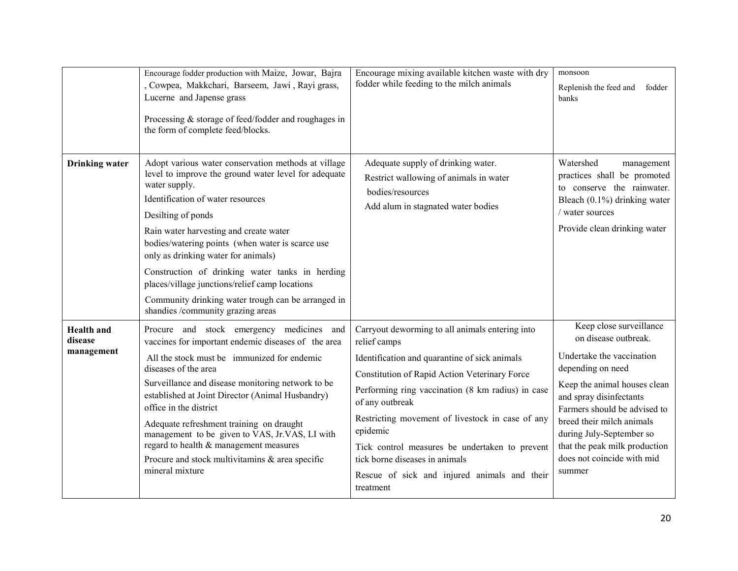|                                            | Encourage fodder production with Maize, Jowar, Bajra<br>, Cowpea, Makkchari, Barseem, Jawi, Rayi grass,<br>Lucerne and Japense grass<br>Processing & storage of feed/fodder and roughages in<br>the form of complete feed/blocks.                                                                                                                                                                                                                                                                                            | Encourage mixing available kitchen waste with dry<br>fodder while feeding to the milch animals                                                                                                                                                                                                                                                                                                                                                             | monsoon<br>Replenish the feed and fodder<br>banks                                                                                                                                                                                                                                                                              |
|--------------------------------------------|------------------------------------------------------------------------------------------------------------------------------------------------------------------------------------------------------------------------------------------------------------------------------------------------------------------------------------------------------------------------------------------------------------------------------------------------------------------------------------------------------------------------------|------------------------------------------------------------------------------------------------------------------------------------------------------------------------------------------------------------------------------------------------------------------------------------------------------------------------------------------------------------------------------------------------------------------------------------------------------------|--------------------------------------------------------------------------------------------------------------------------------------------------------------------------------------------------------------------------------------------------------------------------------------------------------------------------------|
| <b>Drinking</b> water                      | Adopt various water conservation methods at village<br>level to improve the ground water level for adequate<br>water supply.<br>Identification of water resources<br>Desilting of ponds<br>Rain water harvesting and create water<br>bodies/watering points (when water is scarce use<br>only as drinking water for animals)<br>Construction of drinking water tanks in herding<br>places/village junctions/relief camp locations<br>Community drinking water trough can be arranged in<br>shandies /community grazing areas | Adequate supply of drinking water.<br>Restrict wallowing of animals in water<br>bodies/resources<br>Add alum in stagnated water bodies                                                                                                                                                                                                                                                                                                                     | Watershed<br>management<br>practices shall be promoted<br>to conserve the rainwater.<br>Bleach $(0.1\%)$ drinking water<br>/ water sources<br>Provide clean drinking water                                                                                                                                                     |
| <b>Health</b> and<br>disease<br>management | Procure and stock emergency medicines and<br>vaccines for important endemic diseases of the area<br>All the stock must be immunized for endemic<br>diseases of the area<br>Surveillance and disease monitoring network to be<br>established at Joint Director (Animal Husbandry)<br>office in the district<br>Adequate refreshment training on draught<br>management to be given to VAS, Jr.VAS, LI with<br>regard to health & management measures<br>Procure and stock multivitamins & area specific<br>mineral mixture     | Carryout deworming to all animals entering into<br>relief camps<br>Identification and quarantine of sick animals<br>Constitution of Rapid Action Veterinary Force<br>Performing ring vaccination (8 km radius) in case<br>of any outbreak<br>Restricting movement of livestock in case of any<br>epidemic<br>Tick control measures be undertaken to prevent<br>tick borne diseases in animals<br>Rescue of sick and injured animals and their<br>treatment | Keep close surveillance<br>on disease outbreak.<br>Undertake the vaccination<br>depending on need<br>Keep the animal houses clean<br>and spray disinfectants<br>Farmers should be advised to<br>breed their milch animals<br>during July-September so<br>that the peak milk production<br>does not coincide with mid<br>summer |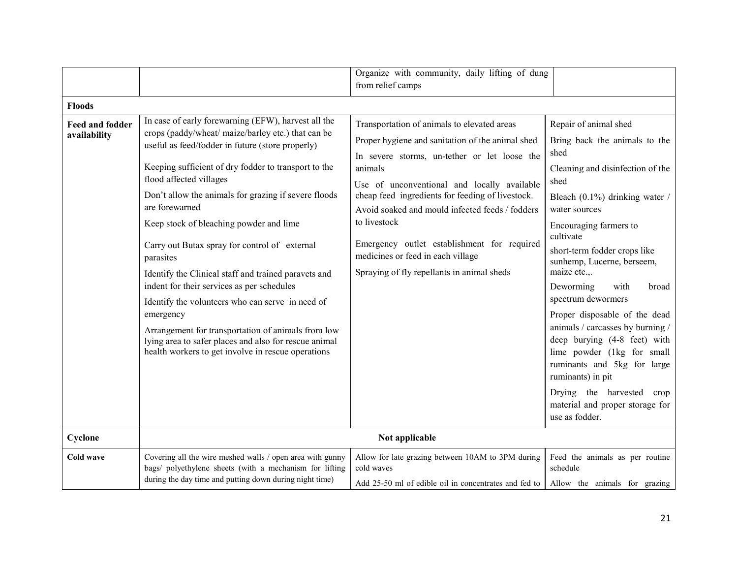|                                        |                                                                                                                                                                                                                                                                                                                                                                                                                                                                                                                                                                                                                                                                                                                                                                                 | Organize with community, daily lifting of dung<br>from relief camps                                                                                                                                                                                                                                                                                                                                                                                                |                                                                                                                                                                                                                                                                                                                                                                                                                                                                                                                                                                                                                    |
|----------------------------------------|---------------------------------------------------------------------------------------------------------------------------------------------------------------------------------------------------------------------------------------------------------------------------------------------------------------------------------------------------------------------------------------------------------------------------------------------------------------------------------------------------------------------------------------------------------------------------------------------------------------------------------------------------------------------------------------------------------------------------------------------------------------------------------|--------------------------------------------------------------------------------------------------------------------------------------------------------------------------------------------------------------------------------------------------------------------------------------------------------------------------------------------------------------------------------------------------------------------------------------------------------------------|--------------------------------------------------------------------------------------------------------------------------------------------------------------------------------------------------------------------------------------------------------------------------------------------------------------------------------------------------------------------------------------------------------------------------------------------------------------------------------------------------------------------------------------------------------------------------------------------------------------------|
| <b>Floods</b>                          |                                                                                                                                                                                                                                                                                                                                                                                                                                                                                                                                                                                                                                                                                                                                                                                 |                                                                                                                                                                                                                                                                                                                                                                                                                                                                    |                                                                                                                                                                                                                                                                                                                                                                                                                                                                                                                                                                                                                    |
| <b>Feed and fodder</b><br>availability | In case of early forewarning (EFW), harvest all the<br>crops (paddy/wheat/ maize/barley etc.) that can be<br>useful as feed/fodder in future (store properly)<br>Keeping sufficient of dry fodder to transport to the<br>flood affected villages<br>Don't allow the animals for grazing if severe floods<br>are forewarned<br>Keep stock of bleaching powder and lime<br>Carry out Butax spray for control of external<br>parasites<br>Identify the Clinical staff and trained paravets and<br>indent for their services as per schedules<br>Identify the volunteers who can serve in need of<br>emergency<br>Arrangement for transportation of animals from low<br>lying area to safer places and also for rescue animal<br>health workers to get involve in rescue operations | Transportation of animals to elevated areas<br>Proper hygiene and sanitation of the animal shed<br>In severe storms, un-tether or let loose the<br>animals<br>Use of unconventional and locally available<br>cheap feed ingredients for feeding of livestock.<br>Avoid soaked and mould infected feeds / fodders<br>to livestock<br>Emergency outlet establishment for required<br>medicines or feed in each village<br>Spraying of fly repellants in animal sheds | Repair of animal shed<br>Bring back the animals to the<br>shed<br>Cleaning and disinfection of the<br>shed<br>Bleach $(0.1\%)$ drinking water /<br>water sources<br>Encouraging farmers to<br>cultivate<br>short-term fodder crops like<br>sunhemp, Lucerne, berseem,<br>maize etc.,.<br>Deworming<br>with<br>broad<br>spectrum dewormers<br>Proper disposable of the dead<br>animals / carcasses by burning /<br>deep burying (4-8 feet) with<br>lime powder (1kg for small<br>ruminants and 5kg for large<br>ruminants) in pit<br>Drying the harvested crop<br>material and proper storage for<br>use as fodder. |
| Cyclone                                |                                                                                                                                                                                                                                                                                                                                                                                                                                                                                                                                                                                                                                                                                                                                                                                 | Not applicable                                                                                                                                                                                                                                                                                                                                                                                                                                                     |                                                                                                                                                                                                                                                                                                                                                                                                                                                                                                                                                                                                                    |
| Cold wave                              | Covering all the wire meshed walls / open area with gunny<br>bags/ polyethylene sheets (with a mechanism for lifting<br>during the day time and putting down during night time)                                                                                                                                                                                                                                                                                                                                                                                                                                                                                                                                                                                                 | Allow for late grazing between 10AM to 3PM during<br>cold waves<br>Add 25-50 ml of edible oil in concentrates and fed to                                                                                                                                                                                                                                                                                                                                           | Feed the animals as per routine<br>schedule<br>Allow the animals for grazing                                                                                                                                                                                                                                                                                                                                                                                                                                                                                                                                       |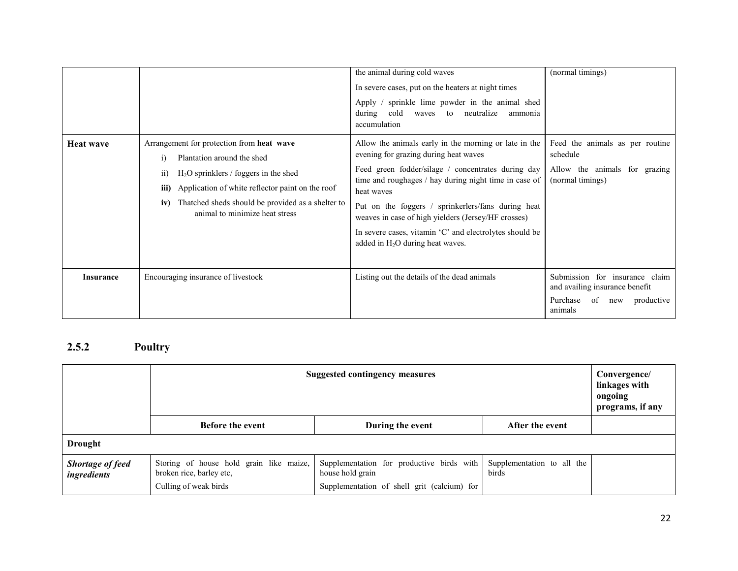|                  |                                                                                                                                                                                                                                                                                    | the animal during cold waves<br>In severe cases, put on the heaters at night times<br>Apply / sprinkle lime powder in the animal shed<br>cold<br>to neutralize<br>during<br>waves<br>ammonia<br>accumulation                                                                                                                                                                                                                              | (normal timings)                                                                                                   |
|------------------|------------------------------------------------------------------------------------------------------------------------------------------------------------------------------------------------------------------------------------------------------------------------------------|-------------------------------------------------------------------------------------------------------------------------------------------------------------------------------------------------------------------------------------------------------------------------------------------------------------------------------------------------------------------------------------------------------------------------------------------|--------------------------------------------------------------------------------------------------------------------|
| <b>Heat wave</b> | Arrangement for protection from heat wave<br>Plantation around the shed<br>$H2O$ sprinklers / foggers in the shed<br>11)<br>iii)<br>Application of white reflector paint on the roof<br>Thatched sheds should be provided as a shelter to<br>iv)<br>animal to minimize heat stress | Allow the animals early in the morning or late in the<br>evening for grazing during heat waves<br>Feed green fodder/silage / concentrates during day<br>time and roughages / hay during night time in case of<br>heat waves<br>Put on the foggers / sprinkerlers/fans during heat<br>weaves in case of high yielders (Jersey/HF crosses)<br>In severe cases, vitamin 'C' and electrolytes should be<br>added in $H_2O$ during heat waves. | Feed the animals as per routine<br>schedule<br>Allow the animals for grazing<br>(normal timings)                   |
| <b>Insurance</b> | Encouraging insurance of livestock                                                                                                                                                                                                                                                 | Listing out the details of the dead animals                                                                                                                                                                                                                                                                                                                                                                                               | Submission for insurance claim<br>and availing insurance benefit<br>Purchase<br>of<br>productive<br>new<br>animals |

#### 2.5.2 Poultry

|                                        | <b>Suggested contingency measures</b><br>linkages with                                       |                                                                                                              |                                     |  |
|----------------------------------------|----------------------------------------------------------------------------------------------|--------------------------------------------------------------------------------------------------------------|-------------------------------------|--|
|                                        | <b>Before the event</b><br>During the event<br>After the event                               |                                                                                                              |                                     |  |
| <b>Drought</b>                         |                                                                                              |                                                                                                              |                                     |  |
| <b>Shortage of feed</b><br>ingredients | Storing of house hold grain like maize,<br>broken rice, barley etc,<br>Culling of weak birds | Supplementation for productive birds with<br>house hold grain<br>Supplementation of shell grit (calcium) for | Supplementation to all the<br>birds |  |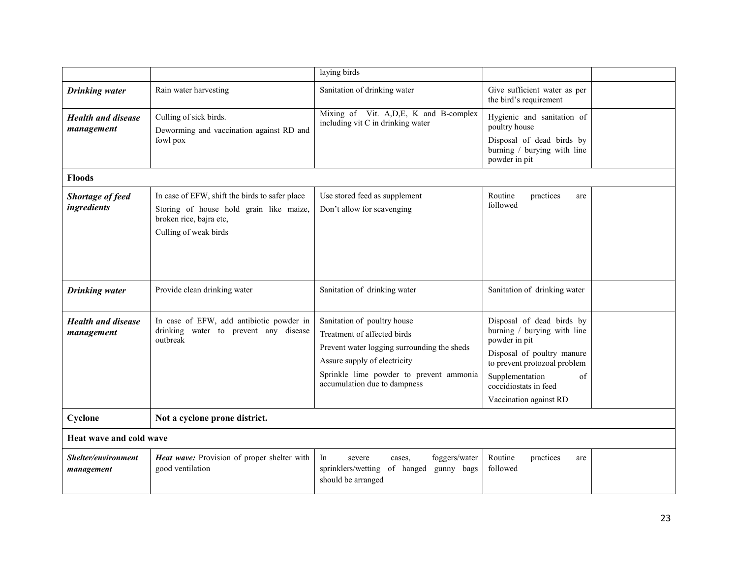|                                         |                                                                                                                                               | laying birds                                                                                                                                                                                                         |                                                                                                                                                                                                                     |  |  |  |
|-----------------------------------------|-----------------------------------------------------------------------------------------------------------------------------------------------|----------------------------------------------------------------------------------------------------------------------------------------------------------------------------------------------------------------------|---------------------------------------------------------------------------------------------------------------------------------------------------------------------------------------------------------------------|--|--|--|
| <b>Drinking</b> water                   | Rain water harvesting                                                                                                                         | Sanitation of drinking water                                                                                                                                                                                         | Give sufficient water as per<br>the bird's requirement                                                                                                                                                              |  |  |  |
| <b>Health and disease</b><br>management | Culling of sick birds.<br>Deworming and vaccination against RD and<br>fowl pox                                                                | Mixing of Vit. A, D, E, K and B-complex<br>including vit C in drinking water                                                                                                                                         | Hygienic and sanitation of<br>poultry house<br>Disposal of dead birds by<br>burning / burying with line<br>powder in pit                                                                                            |  |  |  |
| <b>Floods</b>                           |                                                                                                                                               |                                                                                                                                                                                                                      |                                                                                                                                                                                                                     |  |  |  |
| Shortage of feed<br>ingredients         | In case of EFW, shift the birds to safer place<br>Storing of house hold grain like maize,<br>broken rice, bajra etc,<br>Culling of weak birds | Use stored feed as supplement<br>Don't allow for scavenging                                                                                                                                                          | Routine<br>practices<br>are<br>followed                                                                                                                                                                             |  |  |  |
| <b>Drinking</b> water                   | Provide clean drinking water                                                                                                                  | Sanitation of drinking water                                                                                                                                                                                         | Sanitation of drinking water                                                                                                                                                                                        |  |  |  |
| <b>Health and disease</b><br>management | In case of EFW, add antibiotic powder in<br>drinking water to prevent any disease<br>outbreak                                                 | Sanitation of poultry house<br>Treatment of affected birds<br>Prevent water logging surrounding the sheds<br>Assure supply of electricity<br>Sprinkle lime powder to prevent ammonia<br>accumulation due to dampness | Disposal of dead birds by<br>burning / burying with line<br>powder in pit<br>Disposal of poultry manure<br>to prevent protozoal problem<br>Supplementation<br>of<br>coccidiostats in feed<br>Vaccination against RD |  |  |  |
| Cyclone                                 | Not a cyclone prone district.                                                                                                                 |                                                                                                                                                                                                                      |                                                                                                                                                                                                                     |  |  |  |
|                                         | Heat wave and cold wave                                                                                                                       |                                                                                                                                                                                                                      |                                                                                                                                                                                                                     |  |  |  |
| Shelter/environment<br>management       | Heat wave: Provision of proper shelter with<br>good ventilation                                                                               | In<br>foggers/water<br>severe<br>cases.<br>sprinklers/wetting<br>of hanged<br>gunny bags<br>should be arranged                                                                                                       | Routine<br>practices<br>are<br>followed                                                                                                                                                                             |  |  |  |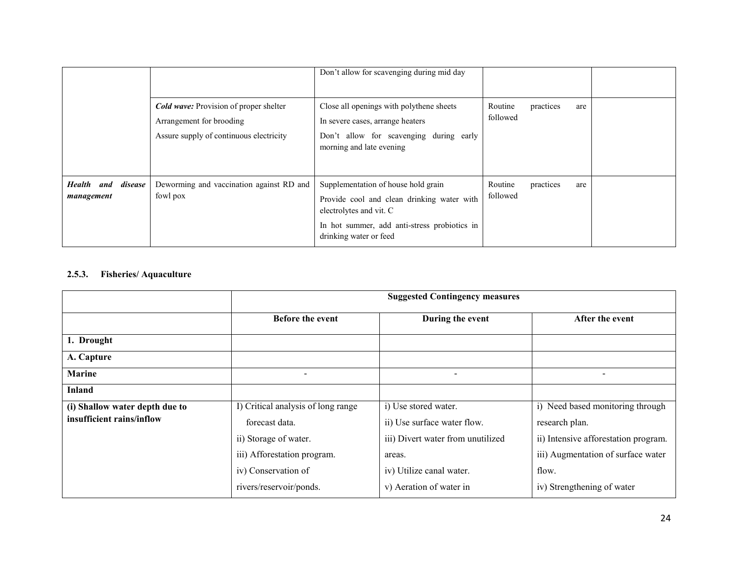|                                               |                                                                                                                      | Don't allow for scavenging during mid day                                                                                                                                              |                     |           |     |  |
|-----------------------------------------------|----------------------------------------------------------------------------------------------------------------------|----------------------------------------------------------------------------------------------------------------------------------------------------------------------------------------|---------------------|-----------|-----|--|
|                                               | <b>Cold wave:</b> Provision of proper shelter<br>Arrangement for brooding<br>Assure supply of continuous electricity | Close all openings with polythene sheets<br>In severe cases, arrange heaters<br>Don't allow for scavenging during early<br>morning and late evening                                    | Routine<br>followed | practices | are |  |
| disease<br><b>Health</b><br>and<br>management | Deworming and vaccination against RD and<br>fowl pox                                                                 | Supplementation of house hold grain<br>Provide cool and clean drinking water with<br>electrolytes and vit. C<br>In hot summer, add anti-stress probiotics in<br>drinking water or feed | Routine<br>followed | practices | are |  |

#### 2.5.3. Fisheries/ Aquaculture

|                                                             | <b>Suggested Contingency measures</b>                                                                                                                          |                                                                                                                                                           |                                                                                                                                                                         |  |  |
|-------------------------------------------------------------|----------------------------------------------------------------------------------------------------------------------------------------------------------------|-----------------------------------------------------------------------------------------------------------------------------------------------------------|-------------------------------------------------------------------------------------------------------------------------------------------------------------------------|--|--|
|                                                             | <b>Before the event</b>                                                                                                                                        | During the event                                                                                                                                          | After the event                                                                                                                                                         |  |  |
| 1. Drought                                                  |                                                                                                                                                                |                                                                                                                                                           |                                                                                                                                                                         |  |  |
| A. Capture                                                  |                                                                                                                                                                |                                                                                                                                                           |                                                                                                                                                                         |  |  |
| Marine                                                      |                                                                                                                                                                | $\overline{\phantom{a}}$                                                                                                                                  | $\overline{\phantom{a}}$                                                                                                                                                |  |  |
| <b>Inland</b>                                               |                                                                                                                                                                |                                                                                                                                                           |                                                                                                                                                                         |  |  |
| (i) Shallow water depth due to<br>insufficient rains/inflow | I) Critical analysis of long range<br>forecast data.<br>ii) Storage of water.<br>iii) Afforestation program.<br>iv) Conservation of<br>rivers/reservoir/ponds. | i) Use stored water.<br>ii) Use surface water flow.<br>iii) Divert water from unutilized<br>areas.<br>iv) Utilize canal water.<br>v) Aeration of water in | i) Need based monitoring through<br>research plan.<br>ii) Intensive afforestation program.<br>iii) Augmentation of surface water<br>flow.<br>iv) Strengthening of water |  |  |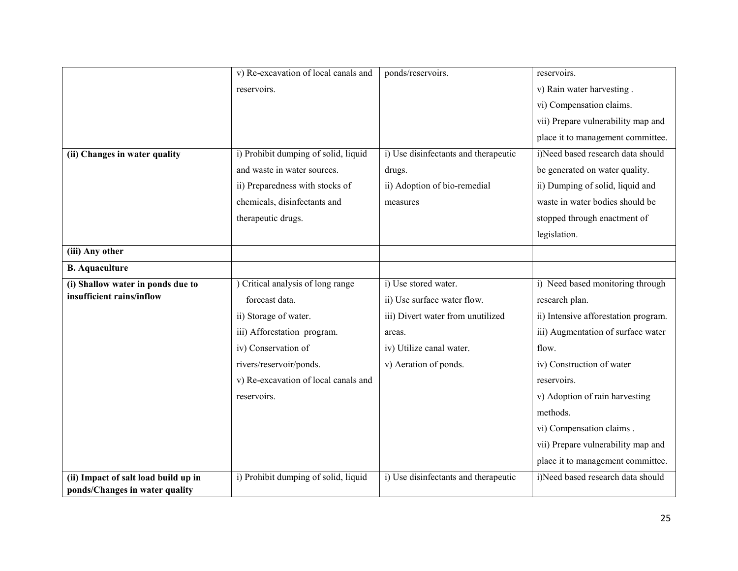|                                      | v) Re-excavation of local canals and | ponds/reservoirs.                    | reservoirs.                          |
|--------------------------------------|--------------------------------------|--------------------------------------|--------------------------------------|
|                                      | reservoirs.                          |                                      | v) Rain water harvesting.            |
|                                      |                                      |                                      | vi) Compensation claims.             |
|                                      |                                      |                                      | vii) Prepare vulnerability map and   |
|                                      |                                      |                                      | place it to management committee.    |
| (ii) Changes in water quality        | i) Prohibit dumping of solid, liquid | i) Use disinfectants and therapeutic | i)Need based research data should    |
|                                      | and waste in water sources.          | drugs.                               | be generated on water quality.       |
|                                      | ii) Preparedness with stocks of      | ii) Adoption of bio-remedial         | ii) Dumping of solid, liquid and     |
|                                      | chemicals, disinfectants and         | measures                             | waste in water bodies should be      |
|                                      | therapeutic drugs.                   |                                      | stopped through enactment of         |
|                                      |                                      |                                      | legislation.                         |
| (iii) Any other                      |                                      |                                      |                                      |
| <b>B.</b> Aquaculture                |                                      |                                      |                                      |
| (i) Shallow water in ponds due to    | ) Critical analysis of long range    | i) Use stored water.                 | i) Need based monitoring through     |
| insufficient rains/inflow            | forecast data.                       | ii) Use surface water flow.          | research plan.                       |
|                                      | ii) Storage of water.                | iii) Divert water from unutilized    | ii) Intensive afforestation program. |
|                                      | iii) Afforestation program.          | areas.                               | iii) Augmentation of surface water   |
|                                      | iv) Conservation of                  | iv) Utilize canal water.             | flow.                                |
|                                      | rivers/reservoir/ponds.              | v) Aeration of ponds.                | iv) Construction of water            |
|                                      | v) Re-excavation of local canals and |                                      | reservoirs.                          |
|                                      | reservoirs.                          |                                      | v) Adoption of rain harvesting       |
|                                      |                                      |                                      | methods.                             |
|                                      |                                      |                                      | vi) Compensation claims.             |
|                                      |                                      |                                      | vii) Prepare vulnerability map and   |
|                                      |                                      |                                      | place it to management committee.    |
| (ii) Impact of salt load build up in | i) Prohibit dumping of solid, liquid | i) Use disinfectants and therapeutic | i)Need based research data should    |
| ponds/Changes in water quality       |                                      |                                      |                                      |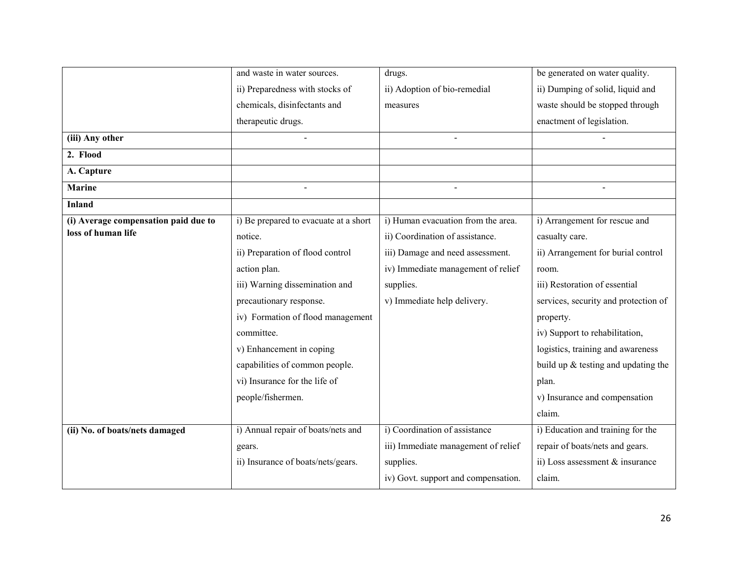|                                      | and waste in water sources.           | drugs.                              | be generated on water quality.       |
|--------------------------------------|---------------------------------------|-------------------------------------|--------------------------------------|
|                                      | ii) Preparedness with stocks of       | ii) Adoption of bio-remedial        | ii) Dumping of solid, liquid and     |
|                                      | chemicals, disinfectants and          | measures                            | waste should be stopped through      |
|                                      | therapeutic drugs.                    |                                     | enactment of legislation.            |
| (iii) Any other                      |                                       |                                     |                                      |
| 2. Flood                             |                                       |                                     |                                      |
| A. Capture                           |                                       |                                     |                                      |
| <b>Marine</b>                        |                                       | $\blacksquare$                      | $\blacksquare$                       |
| <b>Inland</b>                        |                                       |                                     |                                      |
| (i) Average compensation paid due to | i) Be prepared to evacuate at a short | i) Human evacuation from the area.  | i) Arrangement for rescue and        |
| loss of human life                   | notice.                               | ii) Coordination of assistance.     | casualty care.                       |
|                                      | ii) Preparation of flood control      | iii) Damage and need assessment.    | ii) Arrangement for burial control   |
|                                      | action plan.                          | iv) Immediate management of relief  | room.                                |
|                                      | iii) Warning dissemination and        | supplies.                           | iii) Restoration of essential        |
|                                      | precautionary response.               | v) Immediate help delivery.         | services, security and protection of |
|                                      | iv) Formation of flood management     |                                     | property.                            |
|                                      | committee.                            |                                     | iv) Support to rehabilitation,       |
|                                      | v) Enhancement in coping              |                                     | logistics, training and awareness    |
|                                      | capabilities of common people.        |                                     | build up & testing and updating the  |
|                                      | vi) Insurance for the life of         |                                     | plan.                                |
|                                      | people/fishermen.                     |                                     | v) Insurance and compensation        |
|                                      |                                       |                                     | claim.                               |
| (ii) No. of boats/nets damaged       | i) Annual repair of boats/nets and    | i) Coordination of assistance       | i) Education and training for the    |
|                                      | gears.                                | iii) Immediate management of relief | repair of boats/nets and gears.      |
|                                      | ii) Insurance of boats/nets/gears.    | supplies.                           | ii) Loss assessment $&$ insurance    |
|                                      |                                       | iv) Govt. support and compensation. | claim.                               |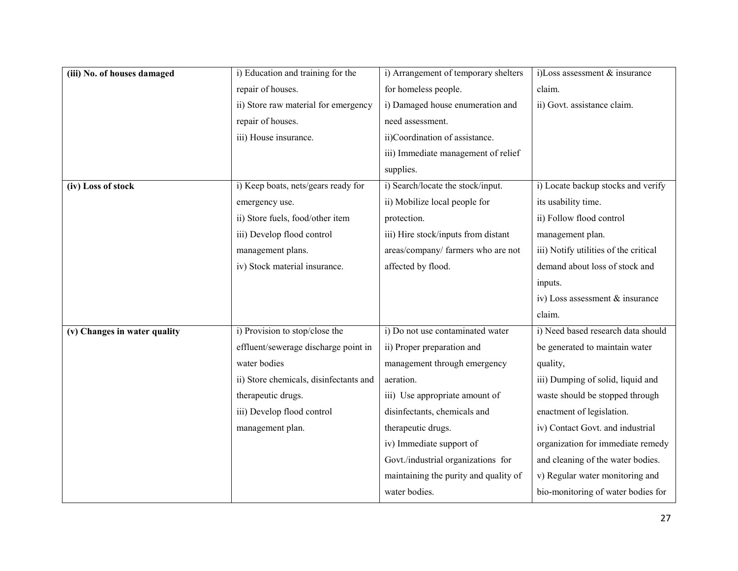| (iii) No. of houses damaged  | i) Education and training for the      | i) Arrangement of temporary shelters  | i)Loss assessment & insurance         |
|------------------------------|----------------------------------------|---------------------------------------|---------------------------------------|
|                              | repair of houses.                      | for homeless people.                  | claim.                                |
|                              | ii) Store raw material for emergency   | i) Damaged house enumeration and      | ii) Govt. assistance claim.           |
|                              | repair of houses.                      | need assessment.                      |                                       |
|                              | iii) House insurance.                  | ii)Coordination of assistance.        |                                       |
|                              |                                        | iii) Immediate management of relief   |                                       |
|                              |                                        | supplies.                             |                                       |
| (iv) Loss of stock           | i) Keep boats, nets/gears ready for    | i) Search/locate the stock/input.     | i) Locate backup stocks and verify    |
|                              | emergency use.                         | ii) Mobilize local people for         | its usability time.                   |
|                              | ii) Store fuels, food/other item       | protection.                           | ii) Follow flood control              |
|                              | iii) Develop flood control             | iii) Hire stock/inputs from distant   | management plan.                      |
|                              | management plans.                      | areas/company/ farmers who are not    | iii) Notify utilities of the critical |
|                              | iv) Stock material insurance.          | affected by flood.                    | demand about loss of stock and        |
|                              |                                        |                                       | inputs.                               |
|                              |                                        |                                       | iv) Loss assessment & insurance       |
|                              |                                        |                                       | claim.                                |
| (v) Changes in water quality | i) Provision to stop/close the         | i) Do not use contaminated water      | i) Need based research data should    |
|                              | effluent/sewerage discharge point in   | ii) Proper preparation and            | be generated to maintain water        |
|                              | water bodies                           | management through emergency          | quality,                              |
|                              | ii) Store chemicals, disinfectants and | aeration.                             | iii) Dumping of solid, liquid and     |
|                              | therapeutic drugs.                     | iii) Use appropriate amount of        | waste should be stopped through       |
|                              | iii) Develop flood control             | disinfectants, chemicals and          | enactment of legislation.             |
|                              | management plan.                       | therapeutic drugs.                    | iv) Contact Govt. and industrial      |
|                              |                                        | iv) Immediate support of              | organization for immediate remedy     |
|                              |                                        | Govt./industrial organizations for    | and cleaning of the water bodies.     |
|                              |                                        | maintaining the purity and quality of | v) Regular water monitoring and       |
|                              |                                        | water bodies.                         | bio-monitoring of water bodies for    |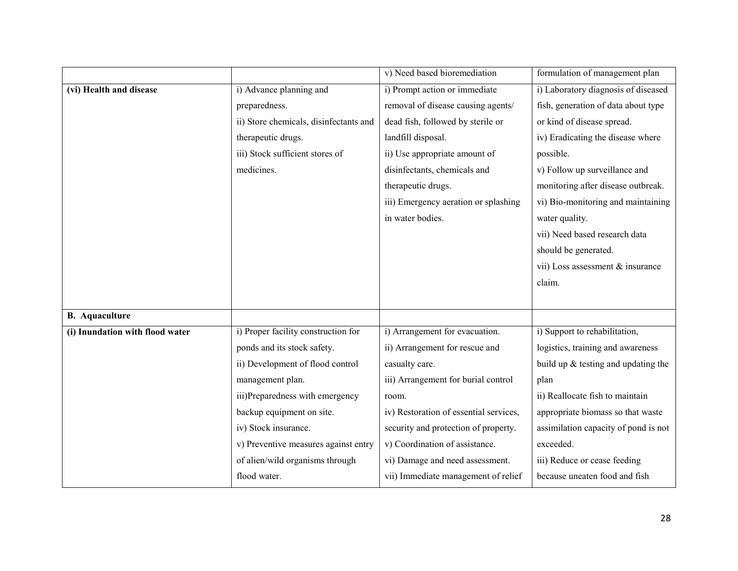|                                 |                                        | v) Need based bioremediation           | formulation of management plan        |
|---------------------------------|----------------------------------------|----------------------------------------|---------------------------------------|
| (vi) Health and disease         | i) Advance planning and                | i) Prompt action or immediate          | i) Laboratory diagnosis of diseased   |
|                                 | preparedness.                          | removal of disease causing agents/     | fish, generation of data about type   |
|                                 | ii) Store chemicals, disinfectants and | dead fish, followed by sterile or      | or kind of disease spread.            |
|                                 | therapeutic drugs.                     | landfill disposal.                     | iv) Eradicating the disease where     |
|                                 | iii) Stock sufficient stores of        | ii) Use appropriate amount of          | possible.                             |
|                                 | medicines.                             | disinfectants, chemicals and           | v) Follow up surveillance and         |
|                                 |                                        | therapeutic drugs.                     | monitoring after disease outbreak.    |
|                                 |                                        | iii) Emergency aeration or splashing   | vi) Bio-monitoring and maintaining    |
|                                 |                                        | in water bodies.                       | water quality.                        |
|                                 |                                        |                                        | vii) Need based research data         |
|                                 |                                        |                                        | should be generated.                  |
|                                 |                                        |                                        | vii) Loss assessment & insurance      |
|                                 |                                        |                                        | claim.                                |
|                                 |                                        |                                        |                                       |
| <b>B.</b> Aquaculture           |                                        |                                        |                                       |
| (i) Inundation with flood water | i) Proper facility construction for    | i) Arrangement for evacuation.         | i) Support to rehabilitation,         |
|                                 | ponds and its stock safety.            | ii) Arrangement for rescue and         | logistics, training and awareness     |
|                                 | ii) Development of flood control       | casualty care.                         | build up $&$ testing and updating the |
|                                 | management plan.                       | iii) Arrangement for burial control    | plan                                  |
|                                 | iii)Preparedness with emergency        | room.                                  | ii) Reallocate fish to maintain       |
|                                 | backup equipment on site.              | iv) Restoration of essential services, | appropriate biomass so that waste     |
|                                 | iv) Stock insurance.                   | security and protection of property.   | assimilation capacity of pond is not  |
|                                 | v) Preventive measures against entry   | v) Coordination of assistance.         | exceeded.                             |
|                                 | of alien/wild organisms through        | vi) Damage and need assessment.        | iii) Reduce or cease feeding          |
|                                 | flood water.                           | vii) Immediate management of relief    | because uneaten food and fish         |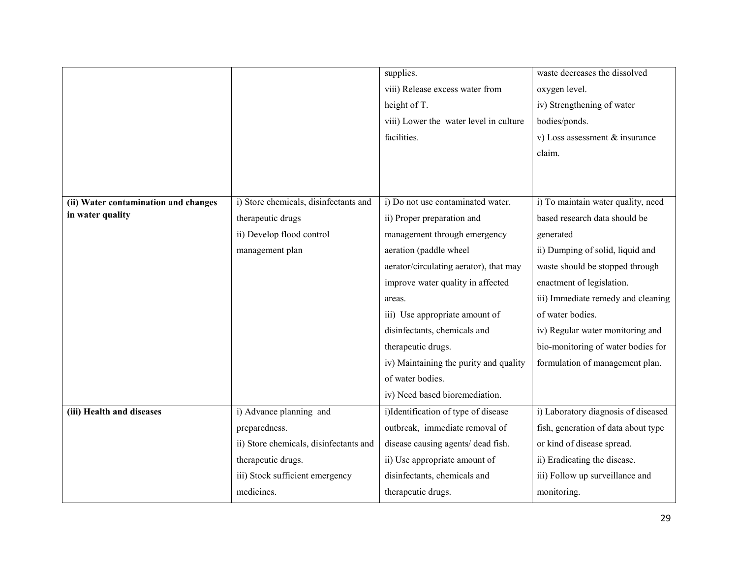|                                      |                                        | supplies.                              | waste decreases the dissolved       |
|--------------------------------------|----------------------------------------|----------------------------------------|-------------------------------------|
|                                      |                                        | viii) Release excess water from        | oxygen level.                       |
|                                      |                                        | height of T.                           | iv) Strengthening of water          |
|                                      |                                        | viii) Lower the water level in culture | bodies/ponds.                       |
|                                      |                                        | facilities.                            | v) Loss assessment $&$ insurance    |
|                                      |                                        |                                        | claim.                              |
|                                      |                                        |                                        |                                     |
|                                      |                                        |                                        |                                     |
| (ii) Water contamination and changes | i) Store chemicals, disinfectants and  | i) Do not use contaminated water.      | i) To maintain water quality, need  |
| in water quality                     | therapeutic drugs                      | ii) Proper preparation and             | based research data should be       |
|                                      | ii) Develop flood control              | management through emergency           | generated                           |
|                                      | management plan                        | aeration (paddle wheel                 | ii) Dumping of solid, liquid and    |
|                                      |                                        | aerator/circulating aerator), that may | waste should be stopped through     |
|                                      |                                        | improve water quality in affected      | enactment of legislation.           |
|                                      |                                        | areas.                                 | iii) Immediate remedy and cleaning  |
|                                      |                                        | iii) Use appropriate amount of         | of water bodies.                    |
|                                      |                                        | disinfectants, chemicals and           | iv) Regular water monitoring and    |
|                                      |                                        | therapeutic drugs.                     | bio-monitoring of water bodies for  |
|                                      |                                        | iv) Maintaining the purity and quality | formulation of management plan.     |
|                                      |                                        | of water bodies.                       |                                     |
|                                      |                                        | iv) Need based bioremediation.         |                                     |
| (iii) Health and diseases            | i) Advance planning and                | i)Identification of type of disease    | i) Laboratory diagnosis of diseased |
|                                      | preparedness.                          | outbreak, immediate removal of         | fish, generation of data about type |
|                                      | ii) Store chemicals, disinfectants and | disease causing agents/ dead fish.     | or kind of disease spread.          |
|                                      | therapeutic drugs.                     | ii) Use appropriate amount of          | ii) Eradicating the disease.        |
|                                      | iii) Stock sufficient emergency        | disinfectants, chemicals and           | iii) Follow up surveillance and     |
|                                      | medicines.                             | therapeutic drugs.                     | monitoring.                         |
|                                      |                                        |                                        |                                     |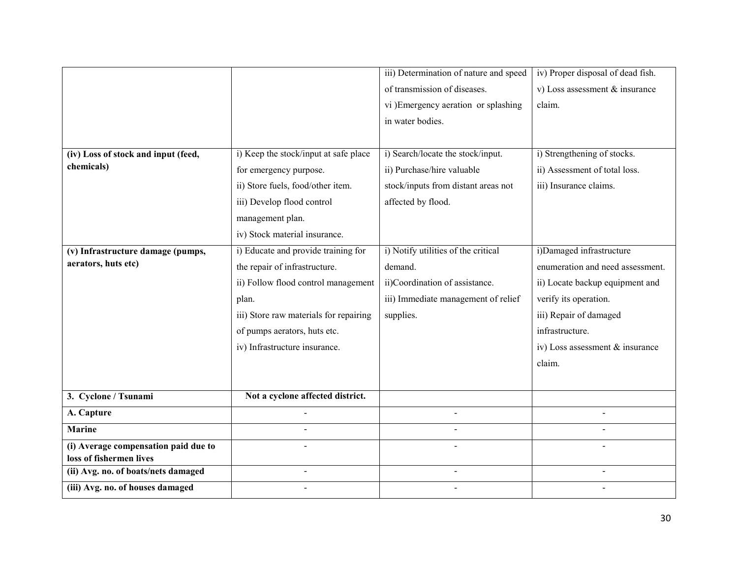|                                      |                                        | iii) Determination of nature and speed | iv) Proper disposal of dead fish. |
|--------------------------------------|----------------------------------------|----------------------------------------|-----------------------------------|
|                                      |                                        | of transmission of diseases.           | v) Loss assessment & insurance    |
|                                      |                                        | vi )Emergency aeration or splashing    | claim.                            |
|                                      |                                        | in water bodies.                       |                                   |
|                                      |                                        |                                        |                                   |
| (iv) Loss of stock and input (feed,  | i) Keep the stock/input at safe place  | i) Search/locate the stock/input.      | i) Strengthening of stocks.       |
| chemicals)                           | for emergency purpose.                 | ii) Purchase/hire valuable             | ii) Assessment of total loss.     |
|                                      | ii) Store fuels, food/other item.      | stock/inputs from distant areas not    | iii) Insurance claims.            |
|                                      | iii) Develop flood control             | affected by flood.                     |                                   |
|                                      | management plan.                       |                                        |                                   |
|                                      | iv) Stock material insurance.          |                                        |                                   |
| (v) Infrastructure damage (pumps,    | i) Educate and provide training for    | i) Notify utilities of the critical    | i)Damaged infrastructure          |
| aerators, huts etc)                  | the repair of infrastructure.          | demand.                                | enumeration and need assessment.  |
|                                      | ii) Follow flood control management    | ii)Coordination of assistance.         | ii) Locate backup equipment and   |
|                                      | plan.                                  | iii) Immediate management of relief    | verify its operation.             |
|                                      | iii) Store raw materials for repairing | supplies.                              | iii) Repair of damaged            |
|                                      | of pumps aerators, huts etc.           |                                        | infrastructure.                   |
|                                      | iv) Infrastructure insurance.          |                                        | iv) Loss assessment & insurance   |
|                                      |                                        |                                        | claim.                            |
|                                      |                                        |                                        |                                   |
| 3. Cyclone / Tsunami                 | Not a cyclone affected district.       |                                        |                                   |
| A. Capture                           |                                        | $\sim$                                 | $\blacksquare$                    |
| <b>Marine</b>                        |                                        |                                        |                                   |
| (i) Average compensation paid due to |                                        |                                        |                                   |
| loss of fishermen lives              |                                        |                                        |                                   |
| (ii) Avg. no. of boats/nets damaged  | $\blacksquare$                         | $\blacksquare$                         | $\blacksquare$                    |
| (iii) Avg. no. of houses damaged     |                                        |                                        |                                   |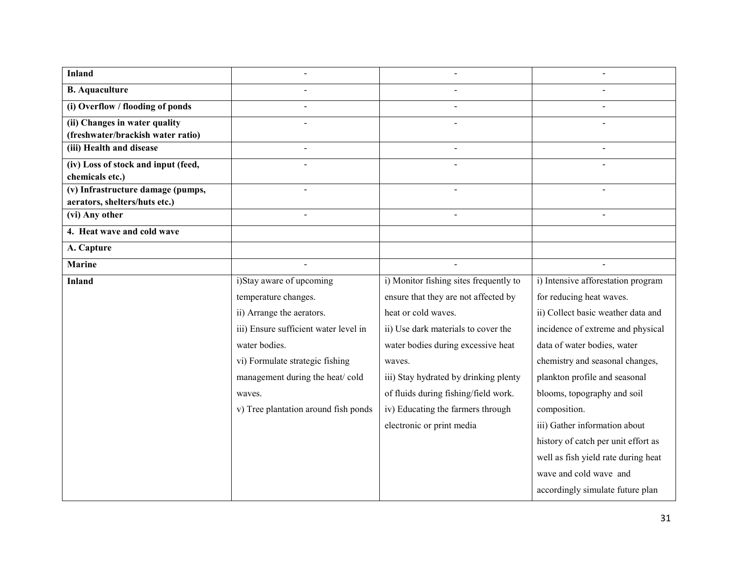| <b>Inland</b>                       |                                       |                                        |                                     |
|-------------------------------------|---------------------------------------|----------------------------------------|-------------------------------------|
| <b>B.</b> Aquaculture               |                                       |                                        |                                     |
| (i) Overflow / flooding of ponds    |                                       |                                        |                                     |
| (ii) Changes in water quality       |                                       |                                        |                                     |
| (freshwater/brackish water ratio)   |                                       |                                        |                                     |
| (iii) Health and disease            |                                       |                                        |                                     |
| (iv) Loss of stock and input (feed, |                                       |                                        |                                     |
| chemicals etc.)                     |                                       |                                        |                                     |
| (v) Infrastructure damage (pumps,   |                                       |                                        |                                     |
| aerators, shelters/huts etc.)       |                                       |                                        |                                     |
| (vi) Any other                      |                                       | $\overline{a}$                         |                                     |
| 4. Heat wave and cold wave          |                                       |                                        |                                     |
| A. Capture                          |                                       |                                        |                                     |
| <b>Marine</b>                       |                                       |                                        |                                     |
| <b>Inland</b>                       | i)Stay aware of upcoming              | i) Monitor fishing sites frequently to | i) Intensive afforestation program  |
|                                     | temperature changes.                  | ensure that they are not affected by   | for reducing heat waves.            |
|                                     | ii) Arrange the aerators.             | heat or cold waves.                    | ii) Collect basic weather data and  |
|                                     | iii) Ensure sufficient water level in | ii) Use dark materials to cover the    | incidence of extreme and physical   |
|                                     | water bodies.                         | water bodies during excessive heat     | data of water bodies, water         |
|                                     | vi) Formulate strategic fishing       | waves.                                 | chemistry and seasonal changes,     |
|                                     | management during the heat/cold       | iii) Stay hydrated by drinking plenty  | plankton profile and seasonal       |
|                                     | waves.                                | of fluids during fishing/field work.   | blooms, topography and soil         |
|                                     | v) Tree plantation around fish ponds  | iv) Educating the farmers through      | composition.                        |
|                                     |                                       | electronic or print media              | iii) Gather information about       |
|                                     |                                       |                                        | history of catch per unit effort as |
|                                     |                                       |                                        | well as fish yield rate during heat |
|                                     |                                       |                                        | wave and cold wave and              |
|                                     |                                       |                                        | accordingly simulate future plan    |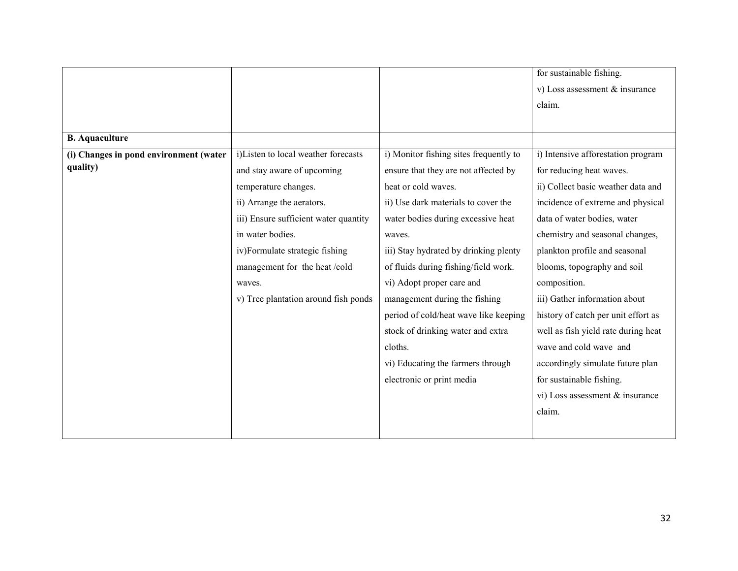|                                        |                                       |                                        | for sustainable fishing.            |
|----------------------------------------|---------------------------------------|----------------------------------------|-------------------------------------|
|                                        |                                       |                                        | v) Loss assessment $&$ insurance    |
|                                        |                                       |                                        | claim.                              |
|                                        |                                       |                                        |                                     |
| <b>B.</b> Aquaculture                  |                                       |                                        |                                     |
| (i) Changes in pond environment (water | i)Listen to local weather forecasts   | i) Monitor fishing sites frequently to | i) Intensive afforestation program  |
| quality)                               | and stay aware of upcoming            | ensure that they are not affected by   | for reducing heat waves.            |
|                                        | temperature changes.                  | heat or cold waves.                    | ii) Collect basic weather data and  |
|                                        | ii) Arrange the aerators.             | ii) Use dark materials to cover the    | incidence of extreme and physical   |
|                                        | iii) Ensure sufficient water quantity | water bodies during excessive heat     | data of water bodies, water         |
|                                        | in water bodies.                      | waves.                                 | chemistry and seasonal changes,     |
|                                        | iv)Formulate strategic fishing        | iii) Stay hydrated by drinking plenty  | plankton profile and seasonal       |
|                                        | management for the heat/cold          | of fluids during fishing/field work.   | blooms, topography and soil         |
|                                        | waves.                                | vi) Adopt proper care and              | composition.                        |
|                                        | v) Tree plantation around fish ponds  | management during the fishing          | iii) Gather information about       |
|                                        |                                       | period of cold/heat wave like keeping  | history of catch per unit effort as |
|                                        |                                       | stock of drinking water and extra      | well as fish yield rate during heat |
|                                        |                                       | cloths.                                | wave and cold wave and              |
|                                        |                                       | vi) Educating the farmers through      | accordingly simulate future plan    |
|                                        |                                       | electronic or print media              | for sustainable fishing.            |
|                                        |                                       |                                        | vi) Loss assessment & insurance     |
|                                        |                                       |                                        | claim.                              |
|                                        |                                       |                                        |                                     |